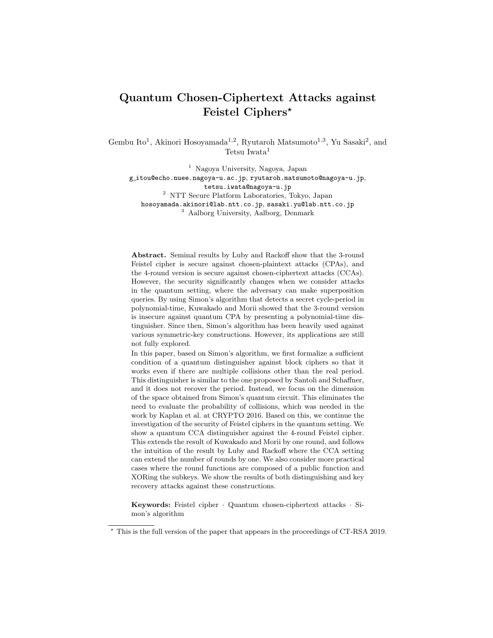## Quantum Chosen-Ciphertext Attacks against Feistel Ciphers?

Gembu Ito<sup>1</sup>, Akinori Hosoyamada<sup>1,2</sup>, Ryutaroh Matsumoto<sup>1,3</sup>, Yu Sasaki<sup>2</sup>, and Tetsu Iwata<br/> $\rm I$ 

<sup>1</sup> Nagoya University, Nagoya, Japan g itou@echo.nuee.nagoya-u.ac.jp, ryutaroh.matsumoto@nagoya-u.jp, tetsu.iwata@nagoya-u.jp <sup>2</sup> NTT Secure Platform Laboratories, Tokyo, Japan hosoyamada.akinori@lab.ntt.co.jp, sasaki.yu@lab.ntt.co.jp <sup>3</sup> Aalborg University, Aalborg, Denmark

Abstract. Seminal results by Luby and Rackoff show that the 3-round Feistel cipher is secure against chosen-plaintext attacks (CPAs), and the 4-round version is secure against chosen-ciphertext attacks (CCAs). However, the security significantly changes when we consider attacks in the quantum setting, where the adversary can make superposition queries. By using Simon's algorithm that detects a secret cycle-period in polynomial-time, Kuwakado and Morii showed that the 3-round version is insecure against quantum CPA by presenting a polynomial-time distinguisher. Since then, Simon's algorithm has been heavily used against various symmetric-key constructions. However, its applications are still not fully explored.

In this paper, based on Simon's algorithm, we first formalize a sufficient condition of a quantum distinguisher against block ciphers so that it works even if there are multiple collisions other than the real period. This distinguisher is similar to the one proposed by Santoli and Schaffner, and it does not recover the period. Instead, we focus on the dimension of the space obtained from Simon's quantum circuit. This eliminates the need to evaluate the probability of collisions, which was needed in the work by Kaplan et al. at CRYPTO 2016. Based on this, we continue the investigation of the security of Feistel ciphers in the quantum setting. We show a quantum CCA distinguisher against the 4-round Feistel cipher. This extends the result of Kuwakado and Morii by one round, and follows the intuition of the result by Luby and Rackoff where the CCA setting can extend the number of rounds by one. We also consider more practical cases where the round functions are composed of a public function and XORing the subkeys. We show the results of both distinguishing and key recovery attacks against these constructions.

Keywords: Feistel cipher · Quantum chosen-ciphertext attacks · Simon's algorithm

<sup>?</sup> This is the full version of the paper that appears in the proceedings of CT-RSA 2019.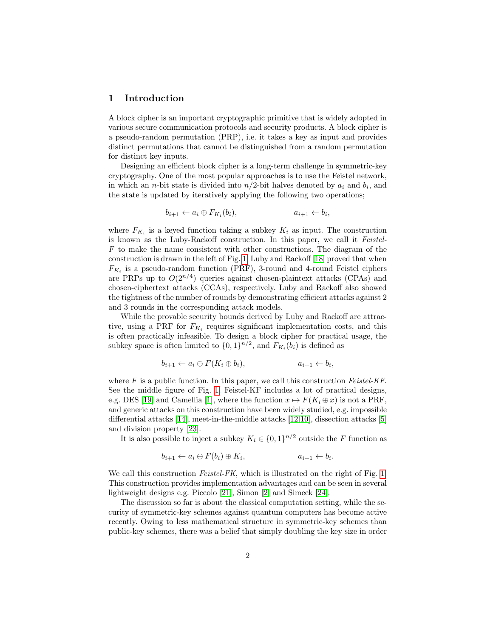## 1 Introduction

A block cipher is an important cryptographic primitive that is widely adopted in various secure communication protocols and security products. A block cipher is a pseudo-random permutation (PRP), i.e. it takes a key as input and provides distinct permutations that cannot be distinguished from a random permutation for distinct key inputs.

Designing an efficient block cipher is a long-term challenge in symmetric-key cryptography. One of the most popular approaches is to use the Feistel network, in which an *n*-bit state is divided into  $n/2$ -bit halves denoted by  $a_i$  and  $b_i$ , and the state is updated by iteratively applying the following two operations;

$$
b_{i+1} \leftarrow a_i \oplus F_{K_i}(b_i), \qquad a_{i+1} \leftarrow b_i,
$$

where  $F_{K_i}$  is a keyed function taking a subkey  $K_i$  as input. The construction is known as the Luby-Rackoff construction. In this paper, we call it Feistel-F to make the name consistent with other constructions. The diagram of the construction is drawn in the left of Fig. [1.](#page-2-0) Luby and Rackoff [\[18\]](#page-19-0) proved that when  $F_{K_i}$  is a pseudo-random function (PRF), 3-round and 4-round Feistel ciphers are PRPs up to  $O(2^{n/4})$  queries against chosen-plaintext attacks (CPAs) and chosen-ciphertext attacks (CCAs), respectively. Luby and Rackoff also showed the tightness of the number of rounds by demonstrating efficient attacks against 2 and 3 rounds in the corresponding attack models.

While the provable security bounds derived by Luby and Rackoff are attractive, using a PRF for  $F_{K_i}$  requires significant implementation costs, and this is often practically infeasible. To design a block cipher for practical usage, the subkey space is often limited to  $\{0,1\}^{n/2}$ , and  $F_{K_i}(b_i)$  is defined as

$$
b_{i+1} \leftarrow a_i \oplus F(K_i \oplus b_i), \qquad a_{i+1} \leftarrow b_i,
$$

where  $F$  is a public function. In this paper, we call this construction  $Feistel-KF$ . See the middle figure of Fig. [1.](#page-2-0) Feistel-KF includes a lot of practical designs, e.g. DES [\[19\]](#page-19-1) and Camellia [\[1\]](#page-18-0), where the function  $x \mapsto F(K_i \oplus x)$  is not a PRF, and generic attacks on this construction have been widely studied, e.g. impossible differential attacks [\[14\]](#page-19-2), meet-in-the-middle attacks [\[12](#page-19-3)[,10\]](#page-19-4), dissection attacks [\[5\]](#page-19-5) and division property [\[23\]](#page-20-0).

It is also possible to inject a subkey  $K_i \in \{0,1\}^{n/2}$  outside the F function as

$$
b_{i+1} \leftarrow a_i \oplus F(b_i) \oplus K_i, \qquad a_{i+1} \leftarrow b_i.
$$

We call this construction *Feistel-FK*, which is illustrated on the right of Fig. [1.](#page-2-0) This construction provides implementation advantages and can be seen in several lightweight designs e.g. Piccolo [\[21\]](#page-20-1), Simon [\[2\]](#page-18-1) and Simeck [\[24\]](#page-20-2).

The discussion so far is about the classical computation setting, while the security of symmetric-key schemes against quantum computers has become active recently. Owing to less mathematical structure in symmetric-key schemes than public-key schemes, there was a belief that simply doubling the key size in order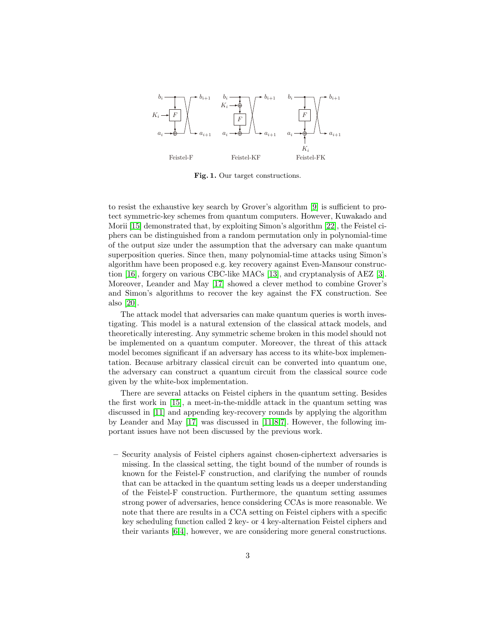

<span id="page-2-0"></span>Fig. 1. Our target constructions.

to resist the exhaustive key search by Grover's algorithm [\[9\]](#page-19-6) is sufficient to protect symmetric-key schemes from quantum computers. However, Kuwakado and Morii [\[15\]](#page-19-7) demonstrated that, by exploiting Simon's algorithm [\[22\]](#page-20-3), the Feistel ciphers can be distinguished from a random permutation only in polynomial-time of the output size under the assumption that the adversary can make quantum superposition queries. Since then, many polynomial-time attacks using Simon's algorithm have been proposed e.g. key recovery against Even-Mansour construction [\[16\]](#page-19-8), forgery on various CBC-like MACs [\[13\]](#page-19-9), and cryptanalysis of AEZ [\[3\]](#page-18-2). Moreover, Leander and May [\[17\]](#page-19-10) showed a clever method to combine Grover's and Simon's algorithms to recover the key against the FX construction. See also [\[20\]](#page-19-11).

The attack model that adversaries can make quantum queries is worth investigating. This model is a natural extension of the classical attack models, and theoretically interesting. Any symmetric scheme broken in this model should not be implemented on a quantum computer. Moreover, the threat of this attack model becomes significant if an adversary has access to its white-box implementation. Because arbitrary classical circuit can be converted into quantum one, the adversary can construct a quantum circuit from the classical source code given by the white-box implementation.

There are several attacks on Feistel ciphers in the quantum setting. Besides the first work in [\[15\]](#page-19-7), a meet-in-the-middle attack in the quantum setting was discussed in [\[11\]](#page-19-12) and appending key-recovery rounds by applying the algorithm by Leander and May  $[17]$  was discussed in  $[11, 8, 7]$  $[11, 8, 7]$  $[11, 8, 7]$  $[11, 8, 7]$  $[11, 8, 7]$ . However, the following important issues have not been discussed by the previous work.

– Security analysis of Feistel ciphers against chosen-ciphertext adversaries is missing. In the classical setting, the tight bound of the number of rounds is known for the Feistel-F construction, and clarifying the number of rounds that can be attacked in the quantum setting leads us a deeper understanding of the Feistel-F construction. Furthermore, the quantum setting assumes strong power of adversaries, hence considering CCAs is more reasonable. We note that there are results in a CCA setting on Feistel ciphers with a specific key scheduling function called 2 key- or 4 key-alternation Feistel ciphers and their variants [\[6,](#page-19-15)[4\]](#page-18-3), however, we are considering more general constructions.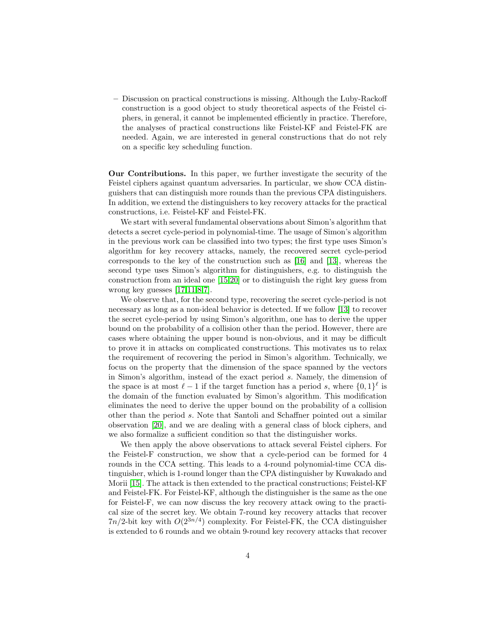– Discussion on practical constructions is missing. Although the Luby-Rackoff construction is a good object to study theoretical aspects of the Feistel ciphers, in general, it cannot be implemented efficiently in practice. Therefore, the analyses of practical constructions like Feistel-KF and Feistel-FK are needed. Again, we are interested in general constructions that do not rely on a specific key scheduling function.

Our Contributions. In this paper, we further investigate the security of the Feistel ciphers against quantum adversaries. In particular, we show CCA distinguishers that can distinguish more rounds than the previous CPA distinguishers. In addition, we extend the distinguishers to key recovery attacks for the practical constructions, i.e. Feistel-KF and Feistel-FK.

We start with several fundamental observations about Simon's algorithm that detects a secret cycle-period in polynomial-time. The usage of Simon's algorithm in the previous work can be classified into two types; the first type uses Simon's algorithm for key recovery attacks, namely, the recovered secret cycle-period corresponds to the key of the construction such as [\[16\]](#page-19-8) and [\[13\]](#page-19-9), whereas the second type uses Simon's algorithm for distinguishers, e.g. to distinguish the construction from an ideal one [\[15,](#page-19-7)[20\]](#page-19-11) or to distinguish the right key guess from wrong key guesses [\[17,](#page-19-10)[11,](#page-19-12)[8](#page-19-13)[,7\]](#page-19-14).

We observe that, for the second type, recovering the secret cycle-period is not necessary as long as a non-ideal behavior is detected. If we follow [\[13\]](#page-19-9) to recover the secret cycle-period by using Simon's algorithm, one has to derive the upper bound on the probability of a collision other than the period. However, there are cases where obtaining the upper bound is non-obvious, and it may be difficult to prove it in attacks on complicated constructions. This motivates us to relax the requirement of recovering the period in Simon's algorithm. Technically, we focus on the property that the dimension of the space spanned by the vectors in Simon's algorithm, instead of the exact period s. Namely, the dimension of the space is at most  $\ell - 1$  if the target function has a period s, where  $\{0, 1\}^{\ell}$  is the domain of the function evaluated by Simon's algorithm. This modification eliminates the need to derive the upper bound on the probability of a collision other than the period s. Note that Santoli and Schaffner pointed out a similar observation [\[20\]](#page-19-11), and we are dealing with a general class of block ciphers, and we also formalize a sufficient condition so that the distinguisher works.

We then apply the above observations to attack several Feistel ciphers. For the Feistel-F construction, we show that a cycle-period can be formed for 4 rounds in the CCA setting. This leads to a 4-round polynomial-time CCA distinguisher, which is 1-round longer than the CPA distinguisher by Kuwakado and Morii [\[15\]](#page-19-7). The attack is then extended to the practical constructions; Feistel-KF and Feistel-FK. For Feistel-KF, although the distinguisher is the same as the one for Feistel-F, we can now discuss the key recovery attack owing to the practical size of the secret key. We obtain 7-round key recovery attacks that recover  $7n/2$ -bit key with  $O(2^{3n/4})$  complexity. For Feistel-FK, the CCA distinguisher is extended to 6 rounds and we obtain 9-round key recovery attacks that recover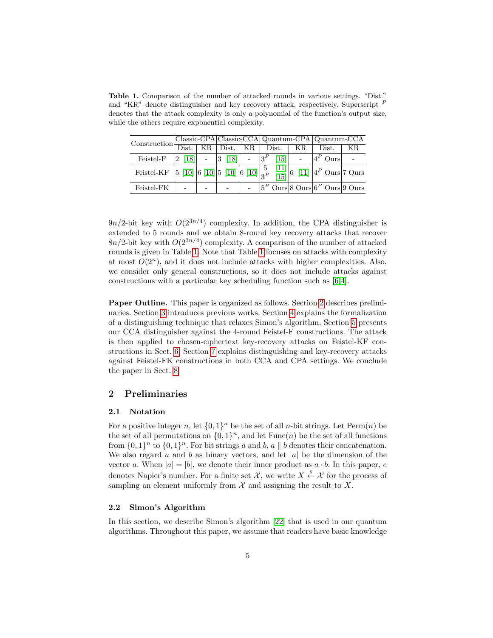<span id="page-4-0"></span>Table 1. Comparison of the number of attacked rounds in various settings. "Dist." and "KR" denote distinguisher and key recovery attack, respectively. Superscript denotes that the attack complexity is only a polynomial of the function's output size, while the others require exponential complexity.

| Construction |              |  |            |  | Classic-CPA Classic-CCA Quantum-CPA Quantum-CCA |     |                                                                    |    |
|--------------|--------------|--|------------|--|-------------------------------------------------|-----|--------------------------------------------------------------------|----|
|              |              |  |            |  | Dist.   KR   Dist.   KR   Dist.                 | KR. | Dist.                                                              | ΚR |
| Feistel-F    | $ 2 \t18 $ - |  | $3 \t[18]$ |  | $\left 3^P \right  \left 15\right $             |     | $4^P$ Ours                                                         |    |
|              |              |  |            |  |                                                 |     |                                                                    |    |
| Feistel-FK   |              |  |            |  |                                                 |     | $ 5^P \text{ Ours} 8 \text{ Ours} 6^P \text{ Ours} 9 \text{ Ours}$ |    |

 $9n/2$ -bit key with  $O(2^{3n/4})$  complexity. In addition, the CPA distinguisher is extended to 5 rounds and we obtain 8-round key recovery attacks that recover  $8n/2$ -bit key with  $O(2^{3n/4})$  complexity. A comparison of the number of attacked rounds is given in Table [1.](#page-4-0) Note that Table [1](#page-4-0) focuses on attacks with complexity at most  $O(2^n)$ , and it does not include attacks with higher complexities. Also, we consider only general constructions, so it does not include attacks against constructions with a particular key scheduling function such as [\[6,](#page-19-15)[4\]](#page-18-3).

Paper Outline. This paper is organized as follows. Section [2](#page-4-1) describes preliminaries. Section [3](#page-6-0) introduces previous works. Section [4](#page-9-0) explains the formalization of a distinguishing technique that relaxes Simon's algorithm. Section [5](#page-12-0) presents our CCA distinguisher against the 4-round Feistel-F constructions. The attack is then applied to chosen-ciphertext key-recovery attacks on Feistel-KF constructions in Sect. [6.](#page-14-0) Section [7](#page-15-0) explains distinguishing and key-recovery attacks against Feistel-FK constructions in both CCA and CPA settings. We conclude the paper in Sect. [8.](#page-18-4)

## <span id="page-4-1"></span>2 Preliminaries

### 2.1 Notation

For a positive integer n, let  $\{0,1\}^n$  be the set of all n-bit strings. Let  $\text{Perm}(n)$  be the set of all permutations on  $\{0,1\}^n$ , and let  $\text{Func}(n)$  be the set of all functions from  $\{0,1\}^n$  to  $\{0,1\}^n$ . For bit strings a and b, a  $\parallel$  b denotes their concatenation. We also regard a and b as binary vectors, and let |a| be the dimension of the vector a. When  $|a| = |b|$ , we denote their inner product as  $a \cdot b$ . In this paper, e denotes Napier's number. For a finite set  $\mathcal{X}$ , we write  $X \xleftarrow{\$} \mathcal{X}$  for the process of sampling an element uniformly from  $\mathcal X$  and assigning the result to  $X$ .

#### <span id="page-4-2"></span>2.2 Simon's Algorithm

In this section, we describe Simon's algorithm [\[22\]](#page-20-3) that is used in our quantum algorithms. Throughout this paper, we assume that readers have basic knowledge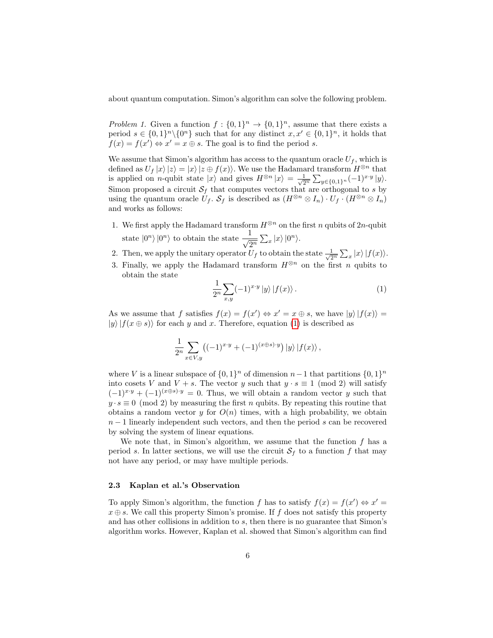about quantum computation. Simon's algorithm can solve the following problem.

Problem 1. Given a function  $f: \{0,1\}^n \to \{0,1\}^n$ , assume that there exists a period  $s \in \{0,1\}^n \setminus \{0^n\}$  such that for any distinct  $x, x' \in \{0,1\}^n$ , it holds that  $f(x) = f(x') \Leftrightarrow x' = x \oplus s$ . The goal is to find the period s.

We assume that Simon's algorithm has access to the quantum oracle  $U_f$ , which is defined as  $U_f |x\rangle |z\rangle = |x\rangle |z \oplus f(x)\rangle$ . We use the Hadamard transform  $H^{\otimes n}$  that is applied on *n*-qubit state  $|x\rangle$  and gives  $H^{\otimes n} |x\rangle = \frac{1}{\sqrt{2^n}} \sum_{y \in \{0,1\}^n} (-1)^{x \cdot y} |y\rangle$ . Simon proposed a circuit  $S_f$  that computes vectors that are orthogonal to s by using the quantum oracle  $U_f$ .  $S_f$  is described as  $(H^{\otimes n} \otimes I_n) \cdot U_f \cdot (H^{\otimes n} \otimes I_n)$ and works as follows:

- 1. We first apply the Hadamard transform  $H^{\otimes n}$  on the first n qubits of 2n-qubit state  $|0^n\rangle |0^n\rangle$  to obtain the state  $\frac{1}{\sqrt{2^n}} \sum_x |x\rangle |0^n\rangle$ .
- 2. Then, we apply the unitary operator  $U_f$  to obtain the state  $\frac{1}{\sqrt{2^n}} \sum_x |x\rangle |f(x)\rangle$ .
- 3. Finally, we apply the Hadamard transform  $H^{\otimes n}$  on the first n qubits to obtain the state

<span id="page-5-0"></span>
$$
\frac{1}{2^n} \sum_{x,y} (-1)^{x \cdot y} |y\rangle |f(x)\rangle.
$$
 (1)

As we assume that f satisfies  $f(x) = f(x') \Leftrightarrow x' = x \oplus s$ , we have  $|y\rangle |f(x)\rangle =$  $|y\rangle |f(x \oplus s)\rangle$  for each y and x. Therefore, equation [\(1\)](#page-5-0) is described as

$$
\frac{1}{2^n}\sum_{x\in V,y}\left((-1)^{x\cdot y}+(-1)^{(x\oplus s)\cdot y}\right)|y\rangle|f(x)\rangle,
$$

where V is a linear subspace of  $\{0,1\}^n$  of dimension  $n-1$  that partitions  $\{0,1\}^n$ into cosets V and  $V + s$ . The vector y such that  $y \cdot s \equiv 1 \pmod{2}$  will satisfy  $(-1)^{x \cdot y}$  +  $(-1)^{(x \oplus s) \cdot y}$  = 0. Thus, we will obtain a random vector y such that  $y \cdot s \equiv 0 \pmod{2}$  by measuring the first n qubits. By repeating this routine that obtains a random vector y for  $O(n)$  times, with a high probability, we obtain  $n-1$  linearly independent such vectors, and then the period s can be recovered by solving the system of linear equations.

We note that, in Simon's algorithm, we assume that the function  $f$  has a period s. In latter sections, we will use the circuit  $S_f$  to a function f that may not have any period, or may have multiple periods.

#### 2.3 Kaplan et al.'s Observation

To apply Simon's algorithm, the function f has to satisfy  $f(x) = f(x') \Leftrightarrow x' =$  $x \oplus s$ . We call this property Simon's promise. If f does not satisfy this property and has other collisions in addition to s, then there is no guarantee that Simon's algorithm works. However, Kaplan et al. showed that Simon's algorithm can find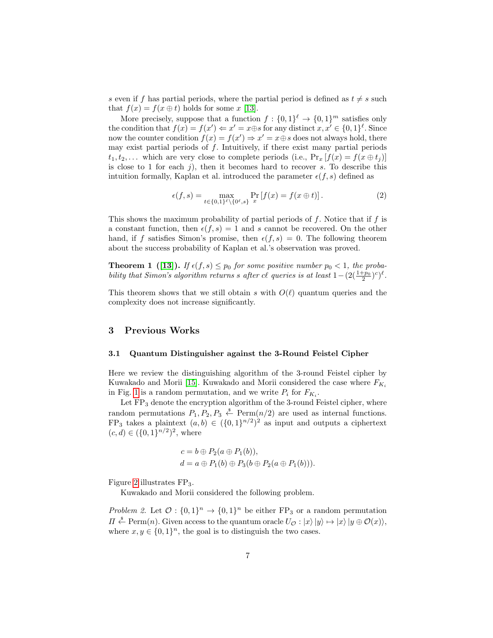s even if f has partial periods, where the partial period is defined as  $t \neq s$  such that  $f(x) = f(x \oplus t)$  holds for some x [\[13\]](#page-19-9).

More precisely, suppose that a function  $f: \{0,1\}^{\ell} \to \{0,1\}^m$  satisfies only the condition that  $f(x) = f(x') \Leftarrow x' = x \oplus s$  for any distinct  $x, x' \in \{0, 1\}^{\ell}$ . Since now the counter condition  $f(x) = f(x') \Rightarrow x' = x \oplus s$  does not always hold, there may exist partial periods of  $f$ . Intuitively, if there exist many partial periods  $t_1, t_2, \ldots$  which are very close to complete periods (i.e.,  $Pr_x[f(x) = f(x \oplus t_i)]$ is close to 1 for each j), then it becomes hard to recover s. To describe this intuition formally, Kaplan et al. introduced the parameter  $\epsilon(f, s)$  defined as

<span id="page-6-2"></span>
$$
\epsilon(f,s) = \max_{t \in \{0,1\}^{\ell} \setminus \{0^{\ell},s\}} \Pr_x \left[ f(x) = f(x \oplus t) \right]. \tag{2}
$$

This shows the maximum probability of partial periods of  $f$ . Notice that if  $f$  is a constant function, then  $\epsilon(f, s) = 1$  and s cannot be recovered. On the other hand, if f satisfies Simon's promise, then  $\epsilon(f, s) = 0$ . The following theorem about the success probability of Kaplan et al.'s observation was proved.

**Theorem 1** ([\[13\]](#page-19-9)). If  $\epsilon(f, s) \leq p_0$  for some positive number  $p_0 < 1$ , the probability that Simon's algorithm returns s after cl queries is at least  $1-(2(\frac{1+p_0}{2})^c)^{\ell}$ .

This theorem shows that we still obtain s with  $O(\ell)$  quantum queries and the complexity does not increase significantly.

## <span id="page-6-0"></span>3 Previous Works

#### <span id="page-6-1"></span>3.1 Quantum Distinguisher against the 3-Round Feistel Cipher

Here we review the distinguishing algorithm of the 3-round Feistel cipher by Kuwakado and Morii [\[15\]](#page-19-7). Kuwakado and Morii considered the case where  $F_{K_i}$ in Fig. [1](#page-2-0) is a random permutation, and we write  $P_i$  for  $F_{K_i}$ .

Let  $FP_3$  denote the encryption algorithm of the 3-round Feistel cipher, where random permutations  $P_1, P_2, P_3 \xleftarrow{\$} \text{Perm}(n/2)$  are used as internal functions.  $FP_3$  takes a plaintext  $(a, b) \in (\{0, 1\}^{n/2})^2$  as input and outputs a ciphertext  $(c, d) \in (\{0, 1\}^{n/2})^2$ , where

$$
c = b \oplus P_2(a \oplus P_1(b)),
$$
  
\n
$$
d = a \oplus P_1(b) \oplus P_3(b \oplus P_2(a \oplus P_1(b))).
$$

Figure [2](#page-7-0) illustrates FP3.

Kuwakado and Morii considered the following problem.

Problem 2. Let  $\mathcal{O}: \{0,1\}^n \to \{0,1\}^n$  be either FP<sub>3</sub> or a random permutation  $\Pi \stackrel{\$}{\leftarrow} \text{Perm}(n)$ . Given access to the quantum oracle  $U_{\mathcal{O}} : |x\rangle |y\rangle \mapsto |x\rangle |y \oplus \mathcal{O}(x)\rangle$ , where  $x, y \in \{0, 1\}^n$ , the goal is to distinguish the two cases.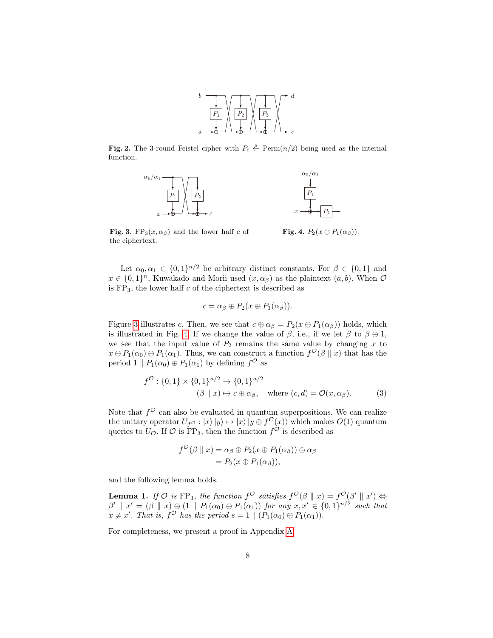

**Fig. 2.** The 3-round Feistel cipher with  $P_i \stackrel{\$}{\leftarrow} \text{Perm}(n/2)$  being used as the internal function.



<span id="page-7-0"></span>

Fig. 3. FP<sub>3</sub> $(x, \alpha_{\beta})$  and the lower half c of the ciphertext.

<span id="page-7-4"></span><span id="page-7-2"></span><span id="page-7-1"></span>Fig. 4.  $P_2(x \oplus P_1(\alpha_\beta))$ .

Let  $\alpha_0, \alpha_1 \in \{0, 1\}^{n/2}$  be arbitrary distinct constants. For  $\beta \in \{0, 1\}$  and  $x \in \{0,1\}^n$ , Kuwakado and Morii used  $(x, \alpha_\beta)$  as the plaintext  $(a, b)$ . When  $\mathcal{O}$ is  $FP<sub>3</sub>$ , the lower half c of the ciphertext is described as

$$
c = \alpha_{\beta} \oplus P_2(x \oplus P_1(\alpha_{\beta})).
$$

Figure [3](#page-7-1) illustrates c. Then, we see that  $c \oplus \alpha_{\beta} = P_2(x \oplus P_1(\alpha_{\beta}))$  holds, which is illustrated in Fig. [4.](#page-7-2) If we change the value of  $\beta$ , i.e., if we let  $\beta$  to  $\beta \oplus 1$ , we see that the input value of  $P_2$  remains the same value by changing x to  $x \oplus P_1(\alpha_0) \oplus P_1(\alpha_1)$ . Thus, we can construct a function  $f^{\mathcal{O}}(\beta \parallel x)$  that has the period  $1 \parallel P_1(\alpha_0) \oplus P_1(\alpha_1)$  by defining  $f^{\mathcal{O}}$  as

$$
f^{\mathcal{O}}: \{0,1\} \times \{0,1\}^{n/2} \to \{0,1\}^{n/2}
$$
  

$$
(\beta \parallel x) \mapsto c \oplus \alpha_{\beta}, \quad \text{where } (c,d) = \mathcal{O}(x,\alpha_{\beta}).
$$
 (3)

Note that  $f^{\mathcal{O}}$  can also be evaluated in quantum superpositions. We can realize the unitary operator  $U_f \circ : |x\rangle |y\rangle \mapsto |x\rangle |y \oplus f^{\mathcal{O}}(x)\rangle$  which makes  $O(1)$  quantum queries to  $U_{\mathcal{O}}$ . If  $\mathcal O$  is FP<sub>3</sub>, then the function  $f^{\mathcal O}$  is described as

<span id="page-7-3"></span>
$$
f^{\mathcal{O}}(\beta \parallel x) = \alpha_{\beta} \oplus P_2(x \oplus P_1(\alpha_{\beta})) \oplus \alpha_{\beta}
$$
  
=  $P_2(x \oplus P_1(\alpha_{\beta})),$ 

and the following lemma holds.

**Lemma 1.** If  $\mathcal{O}$  is FP<sub>3</sub>, the function  $f^{\mathcal{O}}$  satisfies  $f^{\mathcal{O}}(\beta \parallel x) = f^{\mathcal{O}}(\beta' \parallel x') \Leftrightarrow$  $\beta' \parallel x' = (\beta \parallel x) \oplus (1 \parallel P_1(\alpha_0) \oplus P_1(\alpha_1))$  for any  $x, x' \in \{0, 1\}^{n/2}$  such that  $x \neq x'$ . That is,  $f^{\mathcal{O}}$  has the period  $s = 1 \parallel (P_1(\alpha_0) \oplus P_1(\alpha_1)).$ 

For completeness, we present a proof in Appendix [A.](#page-20-4)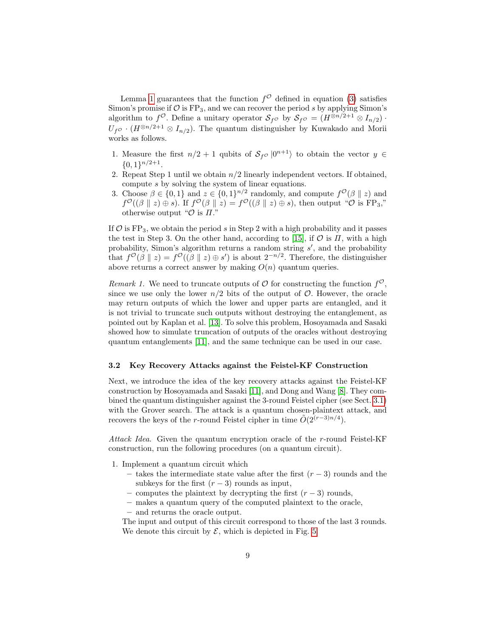Lemma [1](#page-7-3) guarantees that the function  $f^{\mathcal{O}}$  defined in equation [\(3\)](#page-7-4) satisfies Simon's promise if  $\mathcal O$  is  $FP_3$ , and we can recover the period s by applying Simon's algorithm to  $f^{\mathcal{O}}$ . Define a unitary operator  $\mathcal{S}_{f^{\mathcal{O}}}$  by  $\mathcal{S}_{f^{\mathcal{O}}} = (H^{\otimes n/2+1} \otimes I_{n/2})$ .  $U_f \circ (H^{\otimes n/2+1} \otimes I_{n/2})$ . The quantum distinguisher by Kuwakado and Morii works as follows.

- 1. Measure the first  $n/2 + 1$  qubits of  $S_f \circ |0^{n+1}\rangle$  to obtain the vector  $y \in$  $\{0,1\}^{n/2+1}.$
- 2. Repeat Step 1 until we obtain  $n/2$  linearly independent vectors. If obtained, compute s by solving the system of linear equations.
- 3. Choose  $\beta \in \{0,1\}$  and  $z \in \{0,1\}^{n/2}$  randomly, and compute  $f^{\mathcal{O}}(\beta || z)$  and  $f^{\mathcal{O}}((\beta \parallel z) \oplus s)$ . If  $f^{\mathcal{O}}(\beta \parallel z) = f^{\mathcal{O}}((\beta \parallel z) \oplus s)$ , then output " $\mathcal{O}$  is FP<sub>3</sub>," otherwise output " $\mathcal O$  is  $\Pi$ ."

If  $\mathcal O$  is FP<sub>3</sub>, we obtain the period s in Step 2 with a high probability and it passes the test in Step 3. On the other hand, according to [\[15\]](#page-19-7), if  $\mathcal O$  is  $\Pi$ , with a high probability, Simon's algorithm returns a random string  $s'$ , and the probability that  $f^{\mathcal{O}}(\beta \parallel z) = f^{\mathcal{O}}((\beta \parallel z) \oplus s')$  is about  $2^{-n/2}$ . Therefore, the distinguisher above returns a correct answer by making  $O(n)$  quantum queries.

Remark 1. We need to truncate outputs of  $\mathcal O$  for constructing the function  $f^{\mathcal O}$ , since we use only the lower  $n/2$  bits of the output of  $\mathcal O$ . However, the oracle may return outputs of which the lower and upper parts are entangled, and it is not trivial to truncate such outputs without destroying the entanglement, as pointed out by Kaplan et al. [\[13\]](#page-19-9). To solve this problem, Hosoyamada and Sasaki showed how to simulate truncation of outputs of the oracles without destroying quantum entanglements [\[11\]](#page-19-12), and the same technique can be used in our case.

#### <span id="page-8-0"></span>3.2 Key Recovery Attacks against the Feistel-KF Construction

Next, we introduce the idea of the key recovery attacks against the Feistel-KF construction by Hosoyamada and Sasaki [\[11\]](#page-19-12), and Dong and Wang [\[8\]](#page-19-13). They combined the quantum distinguisher against the 3-round Feistel cipher (see Sect. [3.1\)](#page-6-1) with the Grover search. The attack is a quantum chosen-plaintext attack, and recovers the keys of the r-round Feistel cipher in time  $O(2^{(r-3)n/4})$ .

Attack Idea. Given the quantum encryption oracle of the r-round Feistel-KF construction, run the following procedures (on a quantum circuit).

- 1. Implement a quantum circuit which
	- takes the intermediate state value after the first  $(r-3)$  rounds and the subkeys for the first  $(r-3)$  rounds as input,
	- computes the plaintext by decrypting the first  $(r-3)$  rounds,
	- makes a quantum query of the computed plaintext to the oracle,
	- and returns the oracle output.

The input and output of this circuit correspond to those of the last 3 rounds. We denote this circuit by  $\mathcal{E}$ , which is depicted in Fig. [5.](#page-9-1)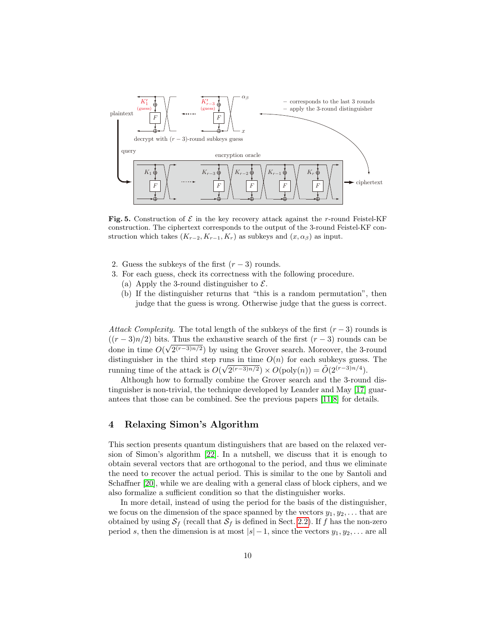

<span id="page-9-1"></span>**Fig. 5.** Construction of  $\mathcal{E}$  in the key recovery attack against the r-round Feistel-KF construction. The ciphertext corresponds to the output of the 3-round Feistel-KF construction which takes  $(K_{r-2}, K_{r-1}, K_r)$  as subkeys and  $(x, \alpha_\beta)$  as input.

- 2. Guess the subkeys of the first  $(r-3)$  rounds.
- 3. For each guess, check its correctness with the following procedure.
	- (a) Apply the 3-round distinguisher to  $\mathcal{E}$ .
	- (b) If the distinguisher returns that "this is a random permutation", then judge that the guess is wrong. Otherwise judge that the guess is correct.

Attack Complexity. The total length of the subkeys of the first  $(r-3)$  rounds is  $((r-3)n/2)$  bits. Thus the exhaustive search of the first  $(r-3)$  rounds can be done in time  $O(\sqrt{2^{(r-3)n/2}})$  by using the Grover search. Moreover, the 3-round distinguisher in the third step runs in time  $O(n)$  for each subkeys guess. The running time of the attack is  $O(\sqrt{2^{(r-3)n/2}}) \times O(\text{poly}(n)) = \tilde{O}(2^{(r-3)n/4}).$ 

Although how to formally combine the Grover search and the 3-round distinguisher is non-trivial, the technique developed by Leander and May [\[17\]](#page-19-10) guarantees that those can be combined. See the previous papers [\[11,](#page-19-12)[8\]](#page-19-13) for details.

## <span id="page-9-0"></span>4 Relaxing Simon's Algorithm

This section presents quantum distinguishers that are based on the relaxed version of Simon's algorithm [\[22\]](#page-20-3). In a nutshell, we discuss that it is enough to obtain several vectors that are orthogonal to the period, and thus we eliminate the need to recover the actual period. This is similar to the one by Santoli and Schaffner [\[20\]](#page-19-11), while we are dealing with a general class of block ciphers, and we also formalize a sufficient condition so that the distinguisher works.

In more detail, instead of using the period for the basis of the distinguisher, we focus on the dimension of the space spanned by the vectors  $y_1, y_2, \ldots$  that are obtained by using  $S_f$  (recall that  $S_f$  is defined in Sect. [2.2\)](#page-4-2). If f has the non-zero period s, then the dimension is at most  $|s| - 1$ , since the vectors  $y_1, y_2, \ldots$  are all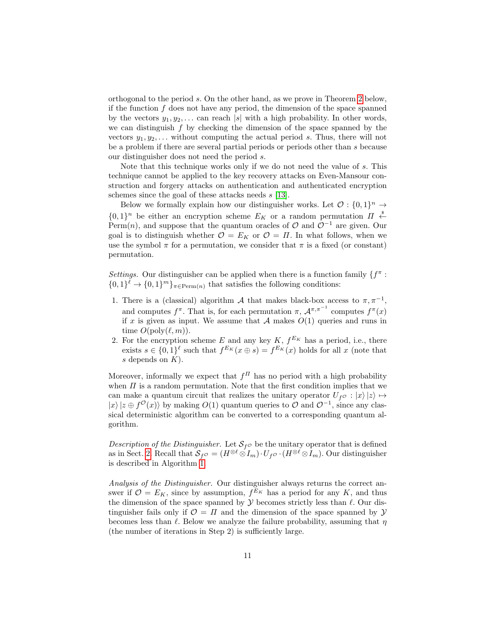orthogonal to the period s. On the other hand, as we prove in Theorem [2](#page-11-0) below, if the function  $f$  does not have any period, the dimension of the space spanned by the vectors  $y_1, y_2, \ldots$  can reach  $|s|$  with a high probability. In other words, we can distinguish  $f$  by checking the dimension of the space spanned by the vectors  $y_1, y_2, \ldots$  without computing the actual period s. Thus, there will not be a problem if there are several partial periods or periods other than s because our distinguisher does not need the period s.

Note that this technique works only if we do not need the value of s. This technique cannot be applied to the key recovery attacks on Even-Mansour construction and forgery attacks on authentication and authenticated encryption schemes since the goal of these attacks needs s [\[13\]](#page-19-9).

Below we formally explain how our distinguisher works. Let  $\mathcal{O}: \{0,1\}^n \to$  ${0,1}^n$  be either an encryption scheme  $E_K$  or a random permutation  $\Pi \stackrel{\$}{\leftarrow}$ Perm(n), and suppose that the quantum oracles of  $\mathcal O$  and  $\mathcal O^{-1}$  are given. Our goal is to distinguish whether  $\mathcal{O} = E_K$  or  $\mathcal{O} = \Pi$ . In what follows, when we use the symbol  $\pi$  for a permutation, we consider that  $\pi$  is a fixed (or constant) permutation.

Settings. Our distinguisher can be applied when there is a function family  $\{f^{\pi}$ :  ${0,1}^{\ell} \rightarrow {0,1}^m$ <sub> $\pi \in \text{Perm}(n)$ </sub> that satisfies the following conditions:

- 1. There is a (classical) algorithm A that makes black-box access to  $\pi, \pi^{-1}$ , and computes  $f^{\pi}$ . That is, for each permutation  $\pi$ ,  $\mathcal{A}^{\pi,\pi^{-1}}$  computes  $f^{\pi}(x)$ if x is given as input. We assume that A makes  $O(1)$  queries and runs in time  $O(\text{poly}(\ell, m)).$
- 2. For the encryption scheme E and any key  $K, f^{E_K}$  has a period, i.e., there exists  $s \in \{0,1\}^{\ell}$  such that  $f^{E_K}(x \oplus s) = f^{E_K}(x)$  holds for all x (note that s depends on  $K$ ).

Moreover, informally we expect that  $f<sup>\Pi</sup>$  has no period with a high probability when  $\Pi$  is a random permutation. Note that the first condition implies that we can make a quantum circuit that realizes the unitary operator  $U_f \circ : |x\rangle |z\rangle \mapsto$  $|x\rangle |z \oplus f^{\mathcal{O}}(x)\rangle$  by making  $O(1)$  quantum queries to  $\mathcal{O}$  and  $\mathcal{O}^{-1}$ , since any classical deterministic algorithm can be converted to a corresponding quantum algorithm.

Description of the Distinguisher. Let  $S_f$  be the unitary operator that is defined as in Sect. [2.](#page-4-1) Recall that  $S_f \circ = (H^{\otimes \ell} \otimes I_m) \cdot U_f \circ (H^{\otimes \ell} \otimes I_m)$ . Our distinguisher is described in Algorithm [1.](#page-11-1)

Analysis of the Distinguisher. Our distinguisher always returns the correct answer if  $\mathcal{O} = E_K$ , since by assumption,  $f^{E_K}$  has a period for any K, and thus the dimension of the space spanned by  $\mathcal Y$  becomes strictly less than  $\ell$ . Our distinguisher fails only if  $\mathcal{O} = \Pi$  and the dimension of the space spanned by  $\mathcal{Y}$ becomes less than  $\ell$ . Below we analyze the failure probability, assuming that  $\eta$ (the number of iterations in Step 2) is sufficiently large.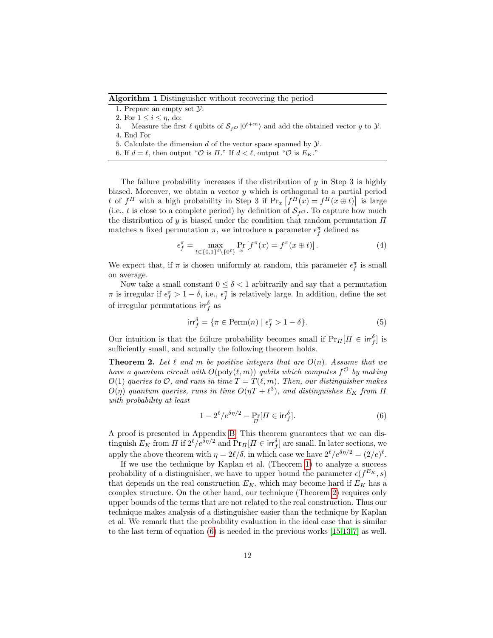Algorithm 1 Distinguisher without recovering the period

- <span id="page-11-1"></span>1. Prepare an empty set Y.
- 2. For  $1 \leq i \leq \eta$ , do:

3. Measure the first  $\ell$  qubits of  $S_f \circ |0^{\ell+m}\rangle$  and add the obtained vector y to  $\mathcal{Y}$ .

4. End For

- 5. Calculate the dimension  $d$  of the vector space spanned by  $\mathcal{Y}$ .
- 6. If  $d = \ell$ , then output "O is  $\Pi$ ." If  $d < \ell$ , output "O is  $E_K$ ."

The failure probability increases if the distribution of  $y$  in Step 3 is highly biased. Moreover, we obtain a vector y which is orthogonal to a partial period t of  $f^{\Pi}$  with a high probability in Step 3 if  $Pr_x \left[ f^{\Pi}(x) = f^{\Pi}(x \oplus t) \right]$  is large (i.e., t is close to a complete period) by definition of  $S_f \circ$ . To capture how much the distribution of y is biased under the condition that random permutation  $\Pi$ matches a fixed permutation  $\pi$ , we introduce a parameter  $\epsilon_f^{\pi}$  defined as

$$
\epsilon_f^{\pi} = \max_{t \in \{0,1\}^{\ell} \setminus \{0^{\ell}\}} \Pr_{x} \left[ f^{\pi}(x) = f^{\pi}(x \oplus t) \right]. \tag{4}
$$

We expect that, if  $\pi$  is chosen uniformly at random, this parameter  $\epsilon_f^{\pi}$  is small on average.

Now take a small constant  $0 \leq \delta < 1$  arbitrarily and say that a permutation  $\pi$  is irregular if  $\epsilon_f^{\pi} > 1 - \delta$ , i.e.,  $\epsilon_f^{\pi}$  is relatively large. In addition, define the set of irregular permutations  $\textsf{irr}_f^{\delta}$  as

<span id="page-11-0"></span>
$$
\text{irr}_f^{\delta} = \{ \pi \in \text{Perm}(n) \mid \epsilon_f^{\pi} > 1 - \delta \}. \tag{5}
$$

Our intuition is that the failure probability becomes small if  $Pr_I[I] \in \text{irr}_f^{\delta}]$  is sufficiently small, and actually the following theorem holds.

**Theorem 2.** Let  $\ell$  and  $m$  be positive integers that are  $O(n)$ . Assume that we have a quantum circuit with  $O(\text{poly}(\ell, m))$  qubits which computes  $f^{\mathcal{O}}$  by making  $O(1)$  queries to  $\mathcal{O}$ , and runs in time  $T = T(\ell, m)$ . Then, our distinguisher makes  $O(\eta)$  quantum queries, runs in time  $O(\eta T + \ell^3)$ , and distinguishes  $E_K$  from  $\Pi$ with probability at least

<span id="page-11-2"></span>
$$
1 - 2^{\ell} / e^{\delta \eta/2} - \Pr_{\Pi}[\Pi \in \text{irr}_{f}^{\delta}]. \tag{6}
$$

A proof is presented in Appendix [B.](#page-20-5) This theorem guarantees that we can distinguish  $E_K$  from  $\Pi$  if  $2^{\ell}/e^{\delta \eta/2}$  and  $Pr_{\Pi}[\Pi \in \text{irr}_{f}^{\delta}]$  are small. In later sections, we apply the above theorem with  $\eta = 2\ell/\delta$ , in which case we have  $2^{\ell}/e^{\delta \eta/2} = (2/e)^{\ell}$ .

If we use the technique by Kaplan et al. (Theorem [1\)](#page-6-2) to analyze a success probability of a distinguisher, we have to upper bound the parameter  $\epsilon(f^{E_K}, s)$ that depends on the real construction  $E_K$ , which may become hard if  $E_K$  has a complex structure. On the other hand, our technique (Theorem [2\)](#page-11-0) requires only upper bounds of the terms that are not related to the real construction. Thus our technique makes analysis of a distinguisher easier than the technique by Kaplan et al. We remark that the probability evaluation in the ideal case that is similar to the last term of equation [\(6\)](#page-11-2) is needed in the previous works [\[15,](#page-19-7)[13,](#page-19-9)[7\]](#page-19-14) as well.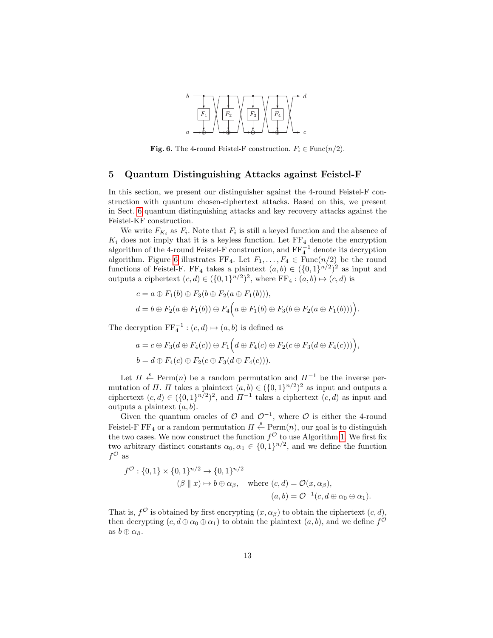<span id="page-12-1"></span>

**Fig. 6.** The 4-round Feistel-F construction.  $F_i \in \text{Func}(n/2)$ .

## <span id="page-12-0"></span>5 Quantum Distinguishing Attacks against Feistel-F

In this section, we present our distinguisher against the 4-round Feistel-F construction with quantum chosen-ciphertext attacks. Based on this, we present in Sect. [6](#page-14-0) quantum distinguishing attacks and key recovery attacks against the Feistel-KF construction.

We write  $F_{K_i}$  as  $F_i$ . Note that  $F_i$  is still a keyed function and the absence of  $K_i$  does not imply that it is a keyless function. Let  $FF_4$  denote the encryption algorithm of the 4-round Feistel-F construction, and  $\text{FF}_4^{-1}$  denote its decryption algorithm. Figure [6](#page-12-1) illustrates FF<sub>4</sub>. Let  $F_1, \ldots, F_4 \in \text{Func}(n/2)$  be the round functions of Feistel-F. FF<sub>4</sub> takes a plaintext  $(a, b) \in (\{0, 1\}^{n/2})^2$  as input and outputs a ciphertext  $(c, d) \in (\{0, 1\}^{n/2})^2$ , where  $FF_4 : (a, b) \mapsto (c, d)$  is

$$
c = a \oplus F_1(b) \oplus F_3(b \oplus F_2(a \oplus F_1(b))),
$$
  
\n
$$
d = b \oplus F_2(a \oplus F_1(b)) \oplus F_4(a \oplus F_1(b) \oplus F_3(b \oplus F_2(a \oplus F_1(b))))
$$

The decryption  $\text{FF}_4^{-1}$  :  $(c, d) \mapsto (a, b)$  is defined as

$$
a = c \oplus F_3(d \oplus F_4(c)) \oplus F_1(d \oplus F_4(c) \oplus F_2(c \oplus F_3(d \oplus F_4(c))))
$$
  

$$
b = d \oplus F_4(c) \oplus F_2(c \oplus F_3(d \oplus F_4(c))).
$$

Let  $\Pi \stackrel{\hspace{0.1em}\mathsf{\scriptscriptstyle\$}}{\leftarrow} \mathrm{Perm}(n)$  be a random permutation and  $\Pi^{-1}$  be the inverse permutation of  $\Pi$ .  $\Pi$  takes a plaintext  $(a, b) \in (\{0, 1\}^{n/2})^2$  as input and outputs a ciphertext  $(c, d) \in (\{0, 1\}^{n/2})^2$ , and  $\Pi^{-1}$  takes a ciphertext  $(c, d)$  as input and outputs a plaintext  $(a, b)$ .

Given the quantum oracles of  $\mathcal O$  and  $\mathcal O^{-1}$ , where  $\mathcal O$  is either the 4-round Feistel-F FF<sub>4</sub> or a random permutation  $\Pi \stackrel{\text{s}}{\leftarrow} \text{Perm}(n)$ , our goal is to distinguish the two cases. We now construct the function  $f^{\mathcal{O}}$  to use Algorithm [1.](#page-11-1) We first fix two arbitrary distinct constants  $\alpha_0, \alpha_1 \in \{0,1\}^{n/2}$ , and we define the function  $f^{\mathcal{O}}$  as

$$
f^{\mathcal{O}}: \{0,1\} \times \{0,1\}^{n/2} \to \{0,1\}^{n/2}
$$
  

$$
(\beta \parallel x) \mapsto b \oplus \alpha_{\beta}, \quad \text{where } (c,d) = \mathcal{O}(x,\alpha_{\beta}),
$$
  

$$
(a,b) = \mathcal{O}^{-1}(c,d \oplus \alpha_0 \oplus \alpha_1).
$$

That is,  $f^{\mathcal{O}}$  is obtained by first encrypting  $(x, \alpha_{\beta})$  to obtain the ciphertext  $(c, d)$ , then decrypting  $(c, d \oplus \alpha_0 \oplus \alpha_1)$  to obtain the plaintext  $(a, b)$ , and we define  $f^{\mathcal{O}}$ as  $b \oplus \alpha_{\beta}$ .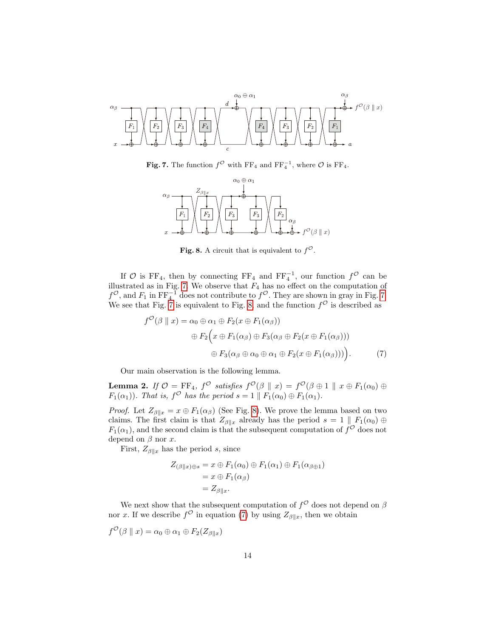

**Fig. 7.** The function  $f^{\mathcal{O}}$  with FF<sub>4</sub> and FF<sub>4</sub><sup>1</sup>, where  $\mathcal{O}$  is FF<sub>4</sub>.



<span id="page-13-2"></span><span id="page-13-1"></span><span id="page-13-0"></span>**Fig. 8.** A circuit that is equivalent to  $f^{\mathcal{O}}$ .

If  $\mathcal O$  is FF<sub>4</sub>, then by connecting FF<sub>4</sub> and FF<sub>4</sub><sup>1</sup>, our function  $f^{\mathcal O}$  can be illustrated as in Fig. [7.](#page-13-0) We observe that  $F_4$  has no effect on the computation of  $f^{\mathcal{O}}$ , and  $F_1$  in  $\text{FF}_4^{-1}$  does not contribute to  $f^{\mathcal{O}}$ . They are shown in gray in Fig. [7.](#page-13-0) We see that Fig. [7](#page-13-0) is equivalent to Fig. [8,](#page-13-1) and the function  $f^{\mathcal{O}}$  is described as

$$
f^{\circ}(\beta \parallel x) = \alpha_0 \oplus \alpha_1 \oplus F_2(x \oplus F_1(\alpha_\beta))
$$
  
\n
$$
\oplus F_2(x \oplus F_1(\alpha_\beta) \oplus F_3(\alpha_\beta \oplus F_2(x \oplus F_1(\alpha_\beta)))
$$
  
\n
$$
\oplus F_3(\alpha_\beta \oplus \alpha_0 \oplus \alpha_1 \oplus F_2(x \oplus F_1(\alpha_\beta)))
$$
\n(7)

Our main observation is the following lemma.

**Lemma 2.** If  $\mathcal{O} = \mathbb{F}F_4$ ,  $f^{\mathcal{O}}$  satisfies  $f^{\mathcal{O}}(\beta || x) = f^{\mathcal{O}}(\beta \oplus 1 || x \oplus F_1(\alpha_0) \oplus$  $F_1(\alpha_1)$ ). That is,  $f^{\mathcal{O}}$  has the period  $s = 1 \parallel F_1(\alpha_0) \oplus F_1(\alpha_1)$ .

*Proof.* Let  $Z_{\beta||x} = x \oplus F_1(\alpha_\beta)$  (See Fig. [8\)](#page-13-1). We prove the lemma based on two claims. The first claim is that  $Z_{\beta||x}$  already has the period  $s = 1 \parallel F_1(\alpha_0) \oplus$  $F_1(\alpha_1)$ , and the second claim is that the subsequent computation of  $f^{\circ}$  does not depend on  $\beta$  nor x.

First,  $Z_{\beta||x}$  has the period s, since

$$
Z_{(\beta||x)\oplus s} = x \oplus F_1(\alpha_0) \oplus F_1(\alpha_1) \oplus F_1(\alpha_{\beta \oplus 1})
$$
  
=  $x \oplus F_1(\alpha_{\beta})$   
=  $Z_{\beta||x}$ .

We next show that the subsequent computation of  $f^{\mathcal{O}}$  does not depend on  $\beta$ nor x. If we describe  $f^{\mathcal{O}}$  in equation [\(7\)](#page-13-2) by using  $Z_{\beta||x}$ , then we obtain

$$
f^{\mathcal{O}}(\beta \parallel x) = \alpha_0 \oplus \alpha_1 \oplus F_2(Z_{\beta \parallel x})
$$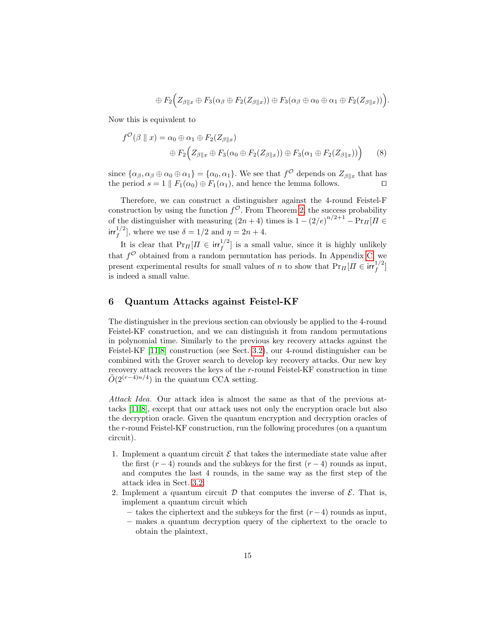$$
\oplus F_2\Big(Z_{\beta\parallel x}\oplus F_3(\alpha_\beta\oplus F_2(Z_{\beta\parallel x}))\oplus F_3(\alpha_\beta\oplus \alpha_0\oplus \alpha_1\oplus F_2(Z_{\beta\parallel x}))\Big)
$$

<span id="page-14-1"></span>.

Now this is equivalent to

$$
f^{\circ}(\beta \parallel x) = \alpha_0 \oplus \alpha_1 \oplus F_2(Z_{\beta \parallel x})
$$
  
\n
$$
\oplus F_2(Z_{\beta \parallel x} \oplus F_3(\alpha_0 \oplus F_2(Z_{\beta \parallel x})) \oplus F_3(\alpha_1 \oplus F_2(Z_{\beta \parallel x}))
$$
 (8)

since  $\{\alpha_\beta, \alpha_\beta \oplus \alpha_0 \oplus \alpha_1\} = \{\alpha_0, \alpha_1\}$ . We see that  $f^{\mathcal{O}}$  depends on  $Z_{\beta||x}$  that has the period  $s = 1 \parallel F_1(\alpha_0) \oplus F_1(\alpha_1)$ , and hence the lemma follows.

Therefore, we can construct a distinguisher against the 4-round Feistel-F construction by using the function  $f^{\mathcal{O}}$ . From Theorem [2,](#page-11-0) the success probability of the distinguisher with measuring  $(2n+4)$  times is  $1 - (2/e)^{n/2+1} - \Pr_{\Pi}[\Pi \in$  $\int \int f^{1/2}$ , where we use  $\delta = 1/2$  and  $\eta = 2n + 4$ .

It is clear that  $Pr_{\Pi}[\Pi \in \text{irr}_{f}^{1/2}]$  is a small value, since it is highly unlikely that  $f^{\mathcal{O}}$  obtained from a random permutation has periods. In Appendix [C,](#page-22-0) we present experimental results for small values of n to show that  $Pr_{\Pi}[\Pi \in \text{irr}_f^{1/2}]$ is indeed a small value.

## <span id="page-14-0"></span>6 Quantum Attacks against Feistel-KF

The distinguisher in the previous section can obviously be applied to the 4-round Feistel-KF construction, and we can distinguish it from random permutations in polynomial time. Similarly to the previous key recovery attacks against the Feistel-KF [\[11,](#page-19-12)[8\]](#page-19-13) construction (see Sect. [3.2\)](#page-8-0), our 4-round distinguisher can be combined with the Grover search to develop key recovery attacks. Our new key recovery attack recovers the keys of the r-round Feistel-KF construction in time  $\tilde{O}(2^{(r-4)n/4})$  in the quantum CCA setting.

Attack Idea. Our attack idea is almost the same as that of the previous attacks [\[11,](#page-19-12)[8\]](#page-19-13), except that our attack uses not only the encryption oracle but also the decryption oracle. Given the quantum encryption and decryption oracles of the r-round Feistel-KF construction, run the following procedures (on a quantum circuit).

- 1. Implement a quantum circuit  $\mathcal E$  that takes the intermediate state value after the first  $(r-4)$  rounds and the subkeys for the first  $(r-4)$  rounds as input, and computes the last 4 rounds, in the same way as the first step of the attack idea in Sect. [3.2.](#page-8-0)
- 2. Implement a quantum circuit  $\mathcal D$  that computes the inverse of  $\mathcal E$ . That is, implement a quantum circuit which
	- takes the ciphertext and the subkeys for the first  $(r-4)$  rounds as input,
	- makes a quantum decryption query of the ciphertext to the oracle to obtain the plaintext,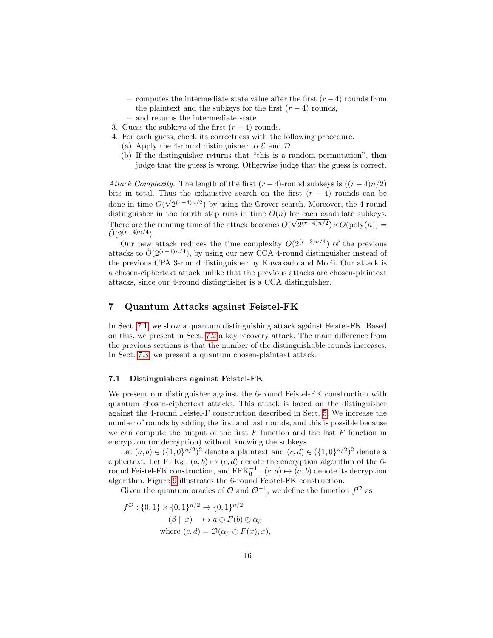- computes the intermediate state value after the first  $(r-4)$  rounds from the plaintext and the subkeys for the first  $(r-4)$  rounds,
- and returns the intermediate state.
- 3. Guess the subkeys of the first  $(r-4)$  rounds.
- 4. For each guess, check its correctness with the following procedure.
	- (a) Apply the 4-round distinguisher to  $\mathcal E$  and  $\mathcal D$ .
	- (b) If the distinguisher returns that "this is a random permutation", then judge that the guess is wrong. Otherwise judge that the guess is correct.

Attack Complexity. The length of the first  $(r-4)$ -round subkeys is  $((r-4)n/2)$ bits in total. Thus the exhaustive search on the first  $(r - 4)$  rounds can be done in time  $O(\sqrt{2(r-4)n/2})$  by using the Grover search. Moreover, the 4-round distinguisher in the fourth step runs in time  $O(n)$  for each candidate subkeys. Therefore the running time of the attack becomes  $O(\sqrt{2^{(r-4)n/2}}) \times O(\text{poly}(n)) =$  $\tilde{O}(2^{(r-4)n/4}).$ 

Our new attack reduces the time complexity  $O(2^{(r-3)n/4})$  of the previous attacks to  $O(2^{(r-4)n/4})$ , by using our new CCA 4-round distinguisher instead of the previous CPA 3-round distinguisher by Kuwakado and Morii. Our attack is a chosen-ciphertext attack unlike that the previous attacks are chosen-plaintext attacks, since our 4-round distinguisher is a CCA distinguisher.

## <span id="page-15-0"></span>7 Quantum Attacks against Feistel-FK

In Sect. [7.1,](#page-15-1) we show a quantum distinguishing attack against Feistel-FK. Based on this, we present in Sect. [7.2](#page-17-0) a key recovery attack. The main difference from the previous sections is that the number of the distinguishable rounds increases. In Sect. [7.3,](#page-17-1) we present a quantum chosen-plaintext attack.

#### <span id="page-15-1"></span>7.1 Distinguishers against Feistel-FK

We present our distinguisher against the 6-round Feistel-FK construction with quantum chosen-ciphertext attacks. This attack is based on the distinguisher against the 4-round Feistel-F construction described in Sect. [5.](#page-12-0) We increase the number of rounds by adding the first and last rounds, and this is possible because we can compute the output of the first  $F$  function and the last  $F$  function in encryption (or decryption) without knowing the subkeys.

Let  $(a, b) \in (\{1, 0\}^{n/2})^2$  denote a plaintext and  $(c, d) \in (\{1, 0\}^{n/2})^2$  denote a ciphertext. Let  $FFK_6 : (a, b) \mapsto (c, d)$  denote the encryption algorithm of the 6round Feistel-FK construction, and  $\text{FFK}_6^{-1}$  :  $(c, d) \mapsto (a, b)$  denote its decryption algorithm. Figure [9](#page-16-0) illustrates the 6-round Feistel-FK construction.

Given the quantum oracles of  $\mathcal{O}$  and  $\mathcal{O}^{-1}$ , we define the function  $f^{\mathcal{O}}$  as

$$
f^{\mathcal{O}} : \{0, 1\} \times \{0, 1\}^{n/2} \to \{0, 1\}^{n/2}
$$

$$
(\beta \parallel x) \mapsto a \oplus F(b) \oplus \alpha_{\beta}
$$
where  $(c, d) = \mathcal{O}(\alpha_{\beta} \oplus F(x), x),$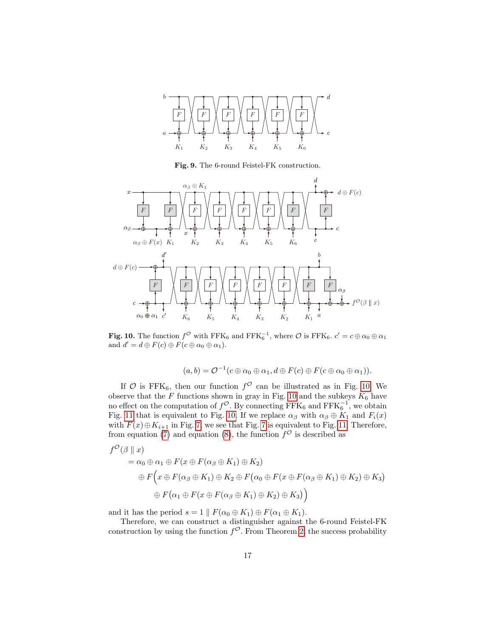

<span id="page-16-0"></span>Fig. 9. The 6-round Feistel-FK construction.



**Fig. 10.** The function  $f^{\mathcal{O}}$  with FFK<sub>6</sub> and FFK<sub>6</sub><sup>-1</sup>, where  $\mathcal{O}$  is FFK<sub>6</sub>.  $c' = c \oplus \alpha_0 \oplus \alpha_1$ and  $d' = d \oplus F(c) \oplus F(c \oplus \alpha_0 \oplus \alpha_1)$ .

<span id="page-16-1"></span>
$$
(a,b) = \mathcal{O}^{-1}(c \oplus \alpha_0 \oplus \alpha_1, d \oplus F(c) \oplus F(c \oplus \alpha_0 \oplus \alpha_1)).
$$

If  $\mathcal O$  is FFK<sub>6</sub>, then our function  $f^{\mathcal O}$  can be illustrated as in Fig. [10.](#page-16-1) We observe that the F functions shown in gray in Fig. [10](#page-16-1) and the subkeys  $K_6$  have no effect on the computation of  $f^{\mathcal{O}}$ . By connecting FFK<sub>6</sub> and FFK<sub>6</sub><sup>-1</sup>, we obtain Fig. [11](#page-17-2) that is equivalent to Fig. [10.](#page-16-1) If we replace  $\alpha_{\beta}$  with  $\alpha_{\beta} \oplus K_1$  and  $F_i(x)$ with  $F(x) \oplus K_{i+1}$  in Fig. [7,](#page-13-0) we see that Fig. [7](#page-13-0) is equivalent to Fig. [11.](#page-17-2) Therefore, from equation [\(7\)](#page-13-2) and equation [\(8\)](#page-14-1), the function  $f^{\mathcal{O}}$  is described as

$$
f^{\circ}(\beta \parallel x)
$$
  
=  $\alpha_0 \oplus \alpha_1 \oplus F(x \oplus F(\alpha_\beta \oplus K_1) \oplus K_2)$   

$$
\oplus F(x \oplus F(\alpha_\beta \oplus K_1) \oplus K_2 \oplus F(\alpha_0 \oplus F(x \oplus F(\alpha_\beta \oplus K_1) \oplus K_2) \oplus K_3)
$$
  

$$
\oplus F(\alpha_1 \oplus F(x \oplus F(\alpha_\beta \oplus K_1) \oplus K_2) \oplus K_3)
$$

and it has the period  $s = 1 \parallel F(\alpha_0 \oplus K_1) \oplus F(\alpha_1 \oplus K_1)$ .

Therefore, we can construct a distinguisher against the 6-round Feistel-FK construction by using the function  $f^{\mathcal{O}}$ . From Theorem [2,](#page-11-0) the success probability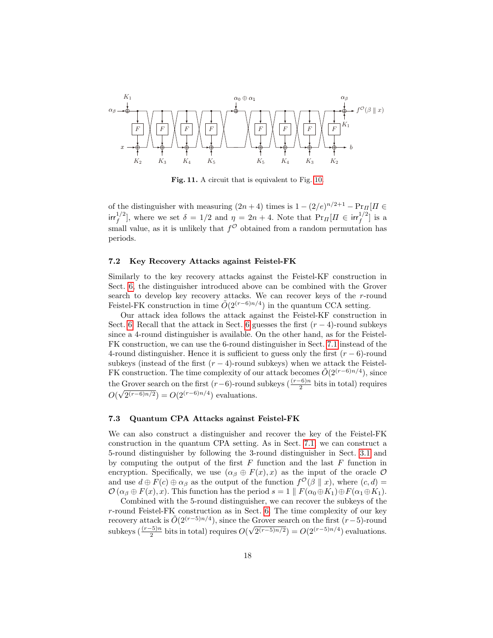

<span id="page-17-2"></span>Fig. 11. A circuit that is equivalent to Fig. [10.](#page-16-1)

of the distinguisher with measuring  $(2n+4)$  times is  $1 - (2/e)^{n/2+1} - \Pr_{II}[II] \in$  $\int \int f^{1/2}$ , where we set  $\delta = 1/2$  and  $\eta = 2n + 4$ . Note that  $\Pr_{\Pi}[\Pi \in \text{irr}_f^{1/2}]$  is a small value, as it is unlikely that  $f^{\mathcal{O}}$  obtained from a random permutation has periods.

#### <span id="page-17-0"></span>7.2 Key Recovery Attacks against Feistel-FK

Similarly to the key recovery attacks against the Feistel-KF construction in Sect. [6,](#page-14-0) the distinguisher introduced above can be combined with the Grover search to develop key recovery attacks. We can recover keys of the r-round Feistel-FK construction in time  $\tilde{O}(2^{(r-6)n/4})$  in the quantum CCA setting.

Our attack idea follows the attack against the Feistel-KF construction in Sect. [6.](#page-14-0) Recall that the attack in Sect. [6](#page-14-0) guesses the first  $(r-4)$ -round subkeys since a 4-round distinguisher is available. On the other hand, as for the Feistel-FK construction, we can use the 6-round distinguisher in Sect. [7.1](#page-15-1) instead of the 4-round distinguisher. Hence it is sufficient to guess only the first  $(r - 6)$ -round subkeys (instead of the first  $(r - 4)$ -round subkeys) when we attack the Feistel-FK construction. The time complexity of our attack becomes  $O(2^{(r-6)n/4})$ , since the Grover search on the first  $(r-6)$ -round subkeys  $(\frac{(r-6)n}{2})$  bits in total) requires  $O(\sqrt{2^{(r-6)n/2}}) = O(2^{(r-6)n/4})$  evaluations.

#### <span id="page-17-1"></span>7.3 Quantum CPA Attacks against Feistel-FK

We can also construct a distinguisher and recover the key of the Feistel-FK construction in the quantum CPA setting. As in Sect. [7.1,](#page-15-1) we can construct a 5-round distinguisher by following the 3-round distinguisher in Sect. [3.1](#page-6-1) and by computing the output of the first  $F$  function and the last  $F$  function in encryption. Specifically, we use  $(\alpha_\beta \oplus F(x), x)$  as the input of the oracle  $\mathcal O$ and use  $d \oplus F(c) \oplus \alpha_{\beta}$  as the output of the function  $f^{\circ}(\beta \parallel x)$ , where  $(c, d) =$  $\mathcal{O}(\alpha_{\beta} \oplus F(x), x)$ . This function has the period  $s = 1 \parallel F(\alpha_0 \oplus K_1) \oplus F(\alpha_1 \oplus K_1)$ .

Combined with the 5-round distinguisher, we can recover the subkeys of the r-round Feistel-FK construction as in Sect. [6.](#page-14-0) The time complexity of our key recovery attack is  $\tilde{O}(2^{(r-5)n/4})$ , since the Grover search on the first  $(r-5)$ -round subkeys  $\left(\frac{(r-5)n}{2} \text{ bits in total}\right)$  requires  $O(\sqrt{2^{(r-5)n/2}}) = O(2^{(r-5)n/4})$  evaluations.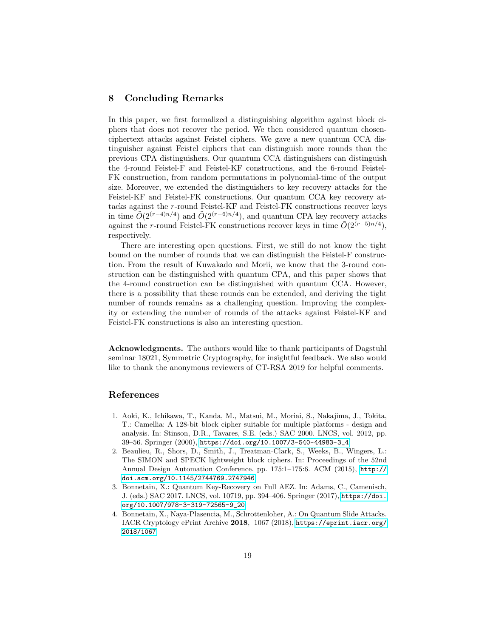## <span id="page-18-4"></span>8 Concluding Remarks

In this paper, we first formalized a distinguishing algorithm against block ciphers that does not recover the period. We then considered quantum chosenciphertext attacks against Feistel ciphers. We gave a new quantum CCA distinguisher against Feistel ciphers that can distinguish more rounds than the previous CPA distinguishers. Our quantum CCA distinguishers can distinguish the 4-round Feistel-F and Feistel-KF constructions, and the 6-round Feistel-FK construction, from random permutations in polynomial-time of the output size. Moreover, we extended the distinguishers to key recovery attacks for the Feistel-KF and Feistel-FK constructions. Our quantum CCA key recovery attacks against the r-round Feistel-KF and Feistel-FK constructions recover keys in time  $O(2^{(r-4)n/4})$  and  $O(2^{(r-6)n/4})$ , and quantum CPA key recovery attacks against the r-round Feistel-FK constructions recover keys in time  $O(2^{(r-5)n/4})$ , respectively.

There are interesting open questions. First, we still do not know the tight bound on the number of rounds that we can distinguish the Feistel-F construction. From the result of Kuwakado and Morii, we know that the 3-round construction can be distinguished with quantum CPA, and this paper shows that the 4-round construction can be distinguished with quantum CCA. However, there is a possibility that these rounds can be extended, and deriving the tight number of rounds remains as a challenging question. Improving the complexity or extending the number of rounds of the attacks against Feistel-KF and Feistel-FK constructions is also an interesting question.

Acknowledgments. The authors would like to thank participants of Dagstuhl seminar 18021, Symmetric Cryptography, for insightful feedback. We also would like to thank the anonymous reviewers of CT-RSA 2019 for helpful comments.

## References

- <span id="page-18-0"></span>1. Aoki, K., Ichikawa, T., Kanda, M., Matsui, M., Moriai, S., Nakajima, J., Tokita, T.: Camellia: A 128-bit block cipher suitable for multiple platforms - design and analysis. In: Stinson, D.R., Tavares, S.E. (eds.) SAC 2000. LNCS, vol. 2012, pp. 39–56. Springer (2000), [https://doi.org/10.1007/3-540-44983-3\\_4](https://doi.org/10.1007/3-540-44983-3_4)
- <span id="page-18-1"></span>2. Beaulieu, R., Shors, D., Smith, J., Treatman-Clark, S., Weeks, B., Wingers, L.: The SIMON and SPECK lightweight block ciphers. In: Proceedings of the 52nd Annual Design Automation Conference. pp. 175:1–175:6. ACM (2015), [http://](http://doi.acm.org/10.1145/2744769.2747946) [doi.acm.org/10.1145/2744769.2747946](http://doi.acm.org/10.1145/2744769.2747946)
- <span id="page-18-2"></span>3. Bonnetain, X.: Quantum Key-Recovery on Full AEZ. In: Adams, C., Camenisch, J. (eds.) SAC 2017. LNCS, vol. 10719, pp. 394–406. Springer (2017), [https://doi.](https://doi.org/10.1007/978-3-319-72565-9_20) [org/10.1007/978-3-319-72565-9\\_20](https://doi.org/10.1007/978-3-319-72565-9_20)
- <span id="page-18-3"></span>4. Bonnetain, X., Naya-Plasencia, M., Schrottenloher, A.: On Quantum Slide Attacks. IACR Cryptology ePrint Archive 2018, 1067 (2018), [https://eprint.iacr.org/](https://eprint.iacr.org/2018/1067) [2018/1067](https://eprint.iacr.org/2018/1067)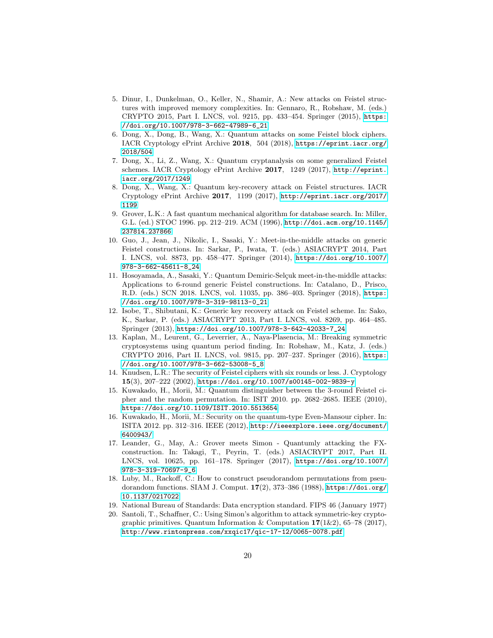- <span id="page-19-5"></span>5. Dinur, I., Dunkelman, O., Keller, N., Shamir, A.: New attacks on Feistel structures with improved memory complexities. In: Gennaro, R., Robshaw, M. (eds.) CRYPTO 2015, Part I. LNCS, vol. 9215, pp. 433–454. Springer (2015), [https:](https://doi.org/10.1007/978-3-662-47989-6_21) [//doi.org/10.1007/978-3-662-47989-6\\_21](https://doi.org/10.1007/978-3-662-47989-6_21)
- <span id="page-19-15"></span>6. Dong, X., Dong, B., Wang, X.: Quantum attacks on some Feistel block ciphers. IACR Cryptology ePrint Archive 2018, 504 (2018), [https://eprint.iacr.org/](https://eprint.iacr.org/2018/504) [2018/504](https://eprint.iacr.org/2018/504)
- <span id="page-19-14"></span>7. Dong, X., Li, Z., Wang, X.: Quantum cryptanalysis on some generalized Feistel schemes. IACR Cryptology ePrint Archive 2017, 1249 (2017), [http://eprint.](http://eprint.iacr.org/2017/1249) [iacr.org/2017/1249](http://eprint.iacr.org/2017/1249)
- <span id="page-19-13"></span>8. Dong, X., Wang, X.: Quantum key-recovery attack on Feistel structures. IACR Cryptology ePrint Archive 2017, 1199 (2017), [http://eprint.iacr.org/2017/](http://eprint.iacr.org/2017/1199) [1199](http://eprint.iacr.org/2017/1199)
- <span id="page-19-6"></span>9. Grover, L.K.: A fast quantum mechanical algorithm for database search. In: Miller, G.L. (ed.) STOC 1996. pp. 212–219. ACM (1996), [http://doi.acm.org/10.1145/](http://doi.acm.org/10.1145/237814.237866) [237814.237866](http://doi.acm.org/10.1145/237814.237866)
- <span id="page-19-4"></span>10. Guo, J., Jean, J., Nikolic, I., Sasaki, Y.: Meet-in-the-middle attacks on generic Feistel constructions. In: Sarkar, P., Iwata, T. (eds.) ASIACRYPT 2014, Part I. LNCS, vol. 8873, pp. 458–477. Springer (2014), [https://doi.org/10.1007/](https://doi.org/10.1007/978-3-662-45611-8_24) [978-3-662-45611-8\\_24](https://doi.org/10.1007/978-3-662-45611-8_24)
- <span id="page-19-12"></span>11. Hosoyamada, A., Sasaki, Y.: Quantum Demiric-Selçuk meet-in-the-middle attacks: Applications to 6-round generic Feistel constructions. In: Catalano, D., Prisco, R.D. (eds.) SCN 2018. LNCS, vol. 11035, pp. 386–403. Springer (2018), [https:](https://doi.org/10.1007/978-3-319-98113-0_21) [//doi.org/10.1007/978-3-319-98113-0\\_21](https://doi.org/10.1007/978-3-319-98113-0_21)
- <span id="page-19-3"></span>12. Isobe, T., Shibutani, K.: Generic key recovery attack on Feistel scheme. In: Sako, K., Sarkar, P. (eds.) ASIACRYPT 2013, Part I. LNCS, vol. 8269, pp. 464–485. Springer (2013), [https://doi.org/10.1007/978-3-642-42033-7\\_24](https://doi.org/10.1007/978-3-642-42033-7_24)
- <span id="page-19-9"></span>13. Kaplan, M., Leurent, G., Leverrier, A., Naya-Plasencia, M.: Breaking symmetric cryptosystems using quantum period finding. In: Robshaw, M., Katz, J. (eds.) CRYPTO 2016, Part II. LNCS, vol. 9815, pp. 207–237. Springer (2016), [https:](https://doi.org/10.1007/978-3-662-53008-5_8) [//doi.org/10.1007/978-3-662-53008-5\\_8](https://doi.org/10.1007/978-3-662-53008-5_8)
- <span id="page-19-2"></span>14. Knudsen, L.R.: The security of Feistel ciphers with six rounds or less. J. Cryptology 15(3), 207–222 (2002), <https://doi.org/10.1007/s00145-002-9839-y>
- <span id="page-19-7"></span>15. Kuwakado, H., Morii, M.: Quantum distinguisher between the 3-round Feistel cipher and the random permutation. In: ISIT 2010. pp. 2682–2685. IEEE (2010), <https://doi.org/10.1109/ISIT.2010.5513654>
- <span id="page-19-8"></span>16. Kuwakado, H., Morii, M.: Security on the quantum-type Even-Mansour cipher. In: ISITA 2012. pp. 312–316. IEEE (2012), [http://ieeexplore.ieee.org/document/](http://ieeexplore.ieee.org/document/6400943/) [6400943/](http://ieeexplore.ieee.org/document/6400943/)
- <span id="page-19-10"></span>17. Leander, G., May, A.: Grover meets Simon - Quantumly attacking the FXconstruction. In: Takagi, T., Peyrin, T. (eds.) ASIACRYPT 2017, Part II. LNCS, vol. 10625, pp. 161–178. Springer (2017), [https://doi.org/10.1007/](https://doi.org/10.1007/978-3-319-70697-9_6) [978-3-319-70697-9\\_6](https://doi.org/10.1007/978-3-319-70697-9_6)
- <span id="page-19-0"></span>18. Luby, M., Rackoff, C.: How to construct pseudorandom permutations from pseudorandom functions. SIAM J. Comput. 17(2), 373–386 (1988), [https://doi.org/](https://doi.org/10.1137/0217022) [10.1137/0217022](https://doi.org/10.1137/0217022)
- <span id="page-19-1"></span>19. National Bureau of Standards: Data encryption standard. FIPS 46 (January 1977)
- <span id="page-19-11"></span>20. Santoli, T., Schaffner, C.: Using Simon's algorithm to attack symmetric-key cryptographic primitives. Quantum Information & Computation  $17(1\&2)$ , 65–78 (2017), <http://www.rintonpress.com/xxqic17/qic-17-12/0065-0078.pdf>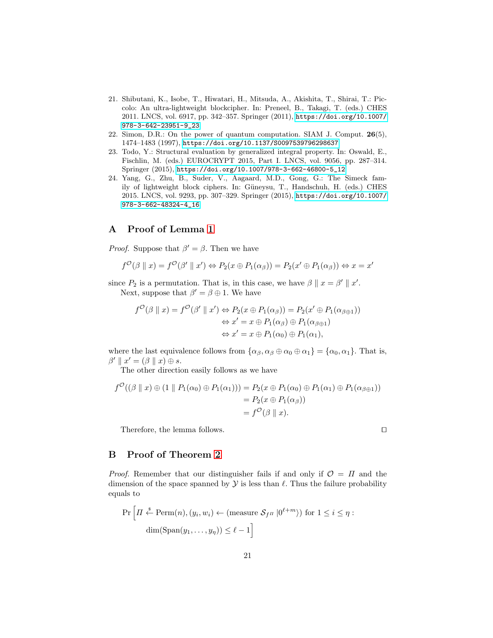- <span id="page-20-1"></span>21. Shibutani, K., Isobe, T., Hiwatari, H., Mitsuda, A., Akishita, T., Shirai, T.: Piccolo: An ultra-lightweight blockcipher. In: Preneel, B., Takagi, T. (eds.) CHES 2011. LNCS, vol. 6917, pp. 342–357. Springer (2011), [https://doi.org/10.1007/](https://doi.org/10.1007/978-3-642-23951-9_23) [978-3-642-23951-9\\_23](https://doi.org/10.1007/978-3-642-23951-9_23)
- <span id="page-20-3"></span>22. Simon, D.R.: On the power of quantum computation. SIAM J. Comput.  $26(5)$ , 1474–1483 (1997), <https://doi.org/10.1137/S0097539796298637>
- <span id="page-20-0"></span>23. Todo, Y.: Structural evaluation by generalized integral property. In: Oswald, E., Fischlin, M. (eds.) EUROCRYPT 2015, Part I. LNCS, vol. 9056, pp. 287–314. Springer (2015), [https://doi.org/10.1007/978-3-662-46800-5\\_12](https://doi.org/10.1007/978-3-662-46800-5_12)
- <span id="page-20-2"></span>24. Yang, G., Zhu, B., Suder, V., Aagaard, M.D., Gong, G.: The Simeck family of lightweight block ciphers. In: Güneysu, T., Handschuh, H. (eds.) CHES 2015. LNCS, vol. 9293, pp. 307–329. Springer (2015), [https://doi.org/10.1007/](https://doi.org/10.1007/978-3-662-48324-4_16) [978-3-662-48324-4\\_16](https://doi.org/10.1007/978-3-662-48324-4_16)

## <span id="page-20-4"></span>A Proof of Lemma [1](#page-7-3)

*Proof.* Suppose that  $\beta' = \beta$ . Then we have

$$
f^{\mathcal{O}}(\beta \parallel x) = f^{\mathcal{O}}(\beta' \parallel x') \Leftrightarrow P_2(x \oplus P_1(\alpha_{\beta})) = P_2(x' \oplus P_1(\alpha_{\beta})) \Leftrightarrow x = x'
$$

since  $P_2$  is a permutation. That is, in this case, we have  $\beta \parallel x = \beta' \parallel x'$ . Next, suppose that  $\beta' = \beta \oplus 1$ . We have

$$
f^{\mathcal{O}}(\beta \parallel x) = f^{\mathcal{O}}(\beta' \parallel x') \Leftrightarrow P_2(x \oplus P_1(\alpha_{\beta})) = P_2(x' \oplus P_1(\alpha_{\beta \oplus 1}))
$$
  
\n
$$
\Leftrightarrow x' = x \oplus P_1(\alpha_{\beta}) \oplus P_1(\alpha_{\beta \oplus 1})
$$
  
\n
$$
\Leftrightarrow x' = x \oplus P_1(\alpha_0) \oplus P_1(\alpha_1),
$$

where the last equivalence follows from  $\{\alpha_\beta, \alpha_\beta \oplus \alpha_0 \oplus \alpha_1\} = \{\alpha_0, \alpha_1\}$ . That is,  $\beta' \parallel x' = (\beta \parallel x) \oplus s.$ 

The other direction easily follows as we have

$$
f^{\circ}((\beta \parallel x) \oplus (1 \parallel P_1(\alpha_0) \oplus P_1(\alpha_1))) = P_2(x \oplus P_1(\alpha_0) \oplus P_1(\alpha_1) \oplus P_1(\alpha_{\beta \oplus 1}))
$$
  
=  $P_2(x \oplus P_1(\alpha_{\beta}))$   
=  $f^{\circ}(\beta \parallel x)$ .

Therefore, the lemma follows.  $\Box$ 

## <span id="page-20-5"></span>B Proof of Theorem [2](#page-11-0)

*Proof.* Remember that our distinguisher fails if and only if  $\mathcal{O} = \Pi$  and the dimension of the space spanned by  $\mathcal Y$  is less than  $\ell$ . Thus the failure probability equals to

$$
\Pr\left[\Pi \stackrel{\$}{\leftarrow} \text{Perm}(n), (y_i, w_i) \leftarrow (\text{measure } \mathcal{S}_{f^{\Pi}} |0^{\ell+m}) \text{ for } 1 \le i \le \eta:
$$
  

$$
\dim(\text{Span}(y_1, \dots, y_\eta)) \le \ell - 1\right]
$$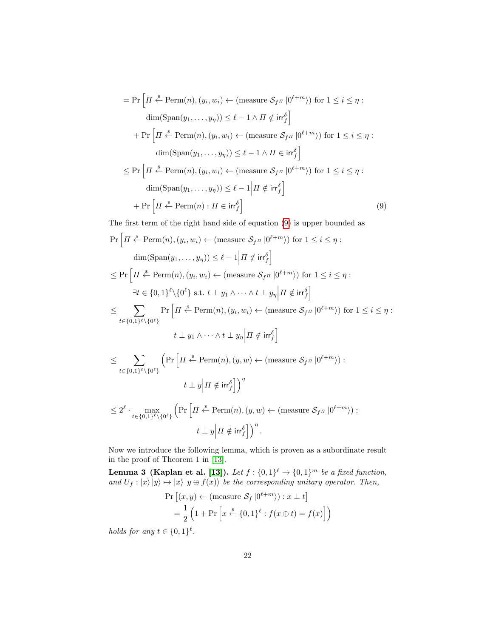$$
= \Pr\left[\Pi \stackrel{\$}{\leftarrow} \text{Perm}(n), (y_i, w_i) \leftarrow (\text{measure } \mathcal{S}_{f^{\Pi}} | 0^{\ell+m})\right) \text{ for } 1 \leq i \leq \eta:
$$
\n
$$
\dim(\text{Span}(y_1, \dots, y_\eta)) \leq \ell - 1 \land \Pi \notin \text{irr}_{f}^{\delta}\right]
$$
\n
$$
+ \Pr\left[\Pi \stackrel{\$}{\leftarrow} \text{Perm}(n), (y_i, w_i) \leftarrow (\text{measure } \mathcal{S}_{f^{\Pi}} | 0^{\ell+m})\right) \text{ for } 1 \leq i \leq \eta:
$$
\n
$$
\dim(\text{Span}(y_1, \dots, y_\eta)) \leq \ell - 1 \land \Pi \in \text{irr}_{f}^{\delta}\right]
$$
\n
$$
\leq \Pr\left[\Pi \stackrel{\$}{\leftarrow} \text{Perm}(n), (y_i, w_i) \leftarrow (\text{measure } \mathcal{S}_{f^{\Pi}} | 0^{\ell+m})\right) \text{ for } 1 \leq i \leq \eta:
$$
\n
$$
\dim(\text{Span}(y_1, \dots, y_\eta)) \leq \ell - 1 \middle| \Pi \notin \text{irr}_{f}^{\delta}\right]
$$
\n
$$
+ \Pr\left[\Pi \stackrel{\$}{\leftarrow} \text{Perm}(n) : \Pi \in \text{irr}_{f}^{\delta}\right]
$$
\n(9)

The first term of the right hand side of equation [\(9\)](#page-21-0) is upper bounded as

<span id="page-21-0"></span>
$$
\Pr\left[\Pi \stackrel{\text{s}}{\leftarrow} \text{Perm}(n), (y_i, w_i) \leftarrow (\text{measure } \mathcal{S}_{f^{\Pi}} | 0^{\ell+m} \rangle) \text{ for } 1 \leq i \leq \eta : \text{dim}(\text{Span}(y_1, \dots, y_\eta)) \leq \ell - 1 \Big| \Pi \notin \text{irr}_{f}^{\delta}\right] \leq \Pr\left[\Pi \stackrel{\text{s}}{\leftarrow} \text{Perm}(n), (y_i, w_i) \leftarrow (\text{measure } \mathcal{S}_{f^{\Pi}} | 0^{\ell+m} \rangle) \text{ for } 1 \leq i \leq \eta : \exists t \in \{0, 1\}^{\ell} \setminus \{0^{\ell}\} \text{ s.t. } t \perp y_1 \wedge \dots \wedge t \perp y_\eta \Big| \Pi \notin \text{irr}_{f}^{\delta}\right] \leq \sum_{t \in \{0, 1\}^{\ell} \setminus \{0^{\ell}\}} \Pr\left[\Pi \stackrel{\text{s}}{\leftarrow} \text{Perm}(n), (y_i, w_i) \leftarrow (\text{measure } \mathcal{S}_{f^{\Pi}} | 0^{\ell+m} \rangle) \text{ for } 1 \leq i \leq \eta : \text{if } t \perp y_1 \wedge \dots \wedge t \perp y_\eta \Big| \Pi \notin \text{irr}_{f}^{\delta}\right] \leq \sum_{t \in \{0, 1\}^{\ell} \setminus \{0^{\ell}\}} \left(\Pr\left[\Pi \stackrel{\text{s}}{\leftarrow} \text{Perm}(n), (y, w) \leftarrow (\text{measure } \mathcal{S}_{f^{\Pi}} | 0^{\ell+m} \rangle) : \text{if } t \perp y \Big| \Pi \notin \text{irr}_{f}^{\delta}\right]\right)^{\eta} \leq 2^{\ell} \cdot \max_{t \in \{0, 1\}^{\ell} \setminus \{0^{\ell}\}} \left(\Pr\left[\Pi \stackrel{\text{s}}{\leftarrow} \text{Perm}(n), (y, w) \leftarrow (\text{measure } \mathcal{S}_{f^{\Pi}} | 0^{\ell+m} \rangle) : \text{if } t \perp y \Big| \Pi \notin \text{irr}_{f}^{\delta}\right]\right)^{\eta}.
$$

Now we introduce the following lemma, which is proven as a subordinate result in the proof of Theorem 1 in [\[13\]](#page-19-9).

**Lemma 3 (Kaplan et al. [\[13\]](#page-19-9)).** Let  $f: \{0,1\}^{\ell} \to \{0,1\}^m$  be a fixed function, and  $U_f : |x\rangle |y\rangle \mapsto |x\rangle |y \oplus f(x)\rangle$  be the corresponding unitary operator. Then,

$$
\Pr\left[(x, y) \leftarrow \text{(measure } \mathcal{S}_f \, |0^{\ell+m}\rangle) : x \perp t\right]
$$
\n
$$
= \frac{1}{2} \left(1 + \Pr\left[x \stackrel{\text{s}}{\leftarrow} \{0, 1\}^{\ell} : f(x \oplus t) = f(x)\right]\right)
$$

holds for any  $t \in \{0,1\}^{\ell}$ .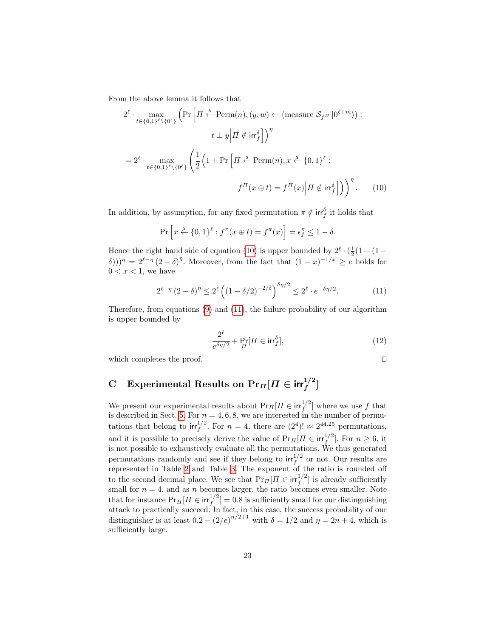From the above lemma it follows that

$$
2^{\ell} \cdot \max_{t \in \{0,1\}^{\ell} \setminus \{0^{\ell}\}} \left( \Pr\left[ \Pi \stackrel{\$}{\leftarrow} \text{Perm}(n), (y, w) \leftarrow (\text{measure } \mathcal{S}_{f^{\Pi}} | 0^{\ell+m} \rangle) : \right. \right. \\
 \left. t \perp y \middle| \Pi \notin \text{irr}_{f}^{\delta} \right] \right)^{\eta} \\
= 2^{\ell} \cdot \max_{t \in \{0,1\}^{\ell} \setminus \{0^{\ell}\}} \left( \frac{1}{2} \left( 1 + \Pr\left[ \Pi \stackrel{\$}{\leftarrow} \text{Perm}(n), x \stackrel{\$}{\leftarrow} \{0,1\}^{\ell} : \right. \right. \\
\left. f^{\Pi}(x \oplus t) = f^{\Pi}(x) \middle| \Pi \notin \text{irr}_{f}^{\delta} \right] \right) \right)^{\eta} . \tag{10}
$$

In addition, by assumption, for any fixed permutation  $\pi \notin \text{irr}_f^{\delta}$  it holds that

<span id="page-22-1"></span>
$$
\Pr\left[x \stackrel{\$}{\leftarrow} \{0,1\}^{\ell} : f^{\pi}(x \oplus t) = f^{\pi}(x)\right] = \epsilon_f^{\pi} \le 1 - \delta.
$$

Hence the right hand side of equation [\(10\)](#page-22-1) is upper bounded by  $2^{\ell} \cdot \left(\frac{1}{2}(1 + (1 - \ell)\right)$  $(\delta$ )))<sup>η</sup> =  $2^{\ell-\eta} (2-\delta)^{\eta}$ . Moreover, from the fact that  $(1-x)^{-1/x} \geq e$  holds for  $0 < x < 1$ , we have

$$
2^{\ell - \eta} (2 - \delta)^{\eta} \le 2^{\ell} \left( (1 - \delta/2)^{-2/\delta} \right)^{\delta \eta/2} \le 2^{\ell} \cdot e^{-\delta \eta/2}.
$$
 (11)

Therefore, from equations [\(9\)](#page-21-0) and [\(11\)](#page-22-2), the failure probability of our algorithm is upper bounded by

$$
\frac{2^{\ell}}{e^{\delta \eta/2}} + \Pr_{\Pi}[\Pi \in \text{irr}_f^{\delta}],\tag{12}
$$

which completes the proof.  $\Box$ 

<span id="page-22-2"></span>
$$
x = \frac{1}{2} \sum_{i=1}^{n} \frac{1}{2} \sum_{i=1}^{n} \frac{1}{2} \sum_{i=1}^{n} \frac{1}{2} \sum_{i=1}^{n} \frac{1}{2} \sum_{i=1}^{n} \frac{1}{2} \sum_{i=1}^{n} \frac{1}{2} \sum_{i=1}^{n} \frac{1}{2} \sum_{i=1}^{n} \frac{1}{2} \sum_{i=1}^{n} \frac{1}{2} \sum_{i=1}^{n} \frac{1}{2} \sum_{i=1}^{n} \frac{1}{2} \sum_{i=1}^{n} \frac{1}{2} \sum_{i=1}^{n} \frac{1}{2} \sum_{i=1}^{n} \frac{1}{2} \sum_{i=1}^{n} \frac{1}{2} \sum_{i=1}^{n} \frac{1}{2} \sum_{i=1}^{n} \frac{1}{2} \sum_{i=1}^{n} \frac{1}{2} \sum_{i=1}^{n} \frac{1}{2} \sum_{i=1}^{n} \frac{1}{2} \sum_{i=1}^{n} \frac{1}{2} \sum_{i=1}^{n} \frac{1}{2} \sum_{i=1}^{n} \frac{1}{2} \sum_{i=1}^{n} \frac{1}{2} \sum_{i=1}^{n} \frac{1}{2} \sum_{i=1}^{n} \frac{1}{2} \sum_{i=1}^{n} \frac{1}{2} \sum_{i=1}^{n} \frac{1}{2} \sum_{i=1}^{n} \frac{1}{2} \sum_{i=1}^{n} \frac{1}{2} \sum_{i=1}^{n} \frac{1}{2} \sum_{i=1}^{n} \frac{1}{2} \sum_{i=1}^{n} \frac{1}{2} \sum_{i=1}^{n} \frac{1}{2} \sum_{i=1}^{n} \frac{1}{2} \sum_{i=1}^{n} \frac{1}{2} \sum_{i=1}^{n} \frac{1}{2} \sum_{i=1}^{n} \frac{1}{2} \sum_{i=1}^{n} \frac{1}{2} \sum_{i=1}^{n} \frac{1}{2} \sum_{i=1}^{n} \frac{1}{2} \sum_{i=1}^{n} \frac{1}{2} \sum_{i=1}^{n} \frac{1}{2} \sum_{i=1}^{n} \frac{1}{2} \sum
$$

# <span id="page-22-0"></span>C Experimental Results on  $\Pr_{II}[II \in \mathsf{irr}_f^{1/2}]$

We present our experimental results about  $Pr_{\Pi}[\Pi \in \text{irr}_f^{1/2}]$  where we use f that is described in Sect. [5.](#page-12-0) For  $n = 4, 6, 8$ , we are interested in the number of permutations that belong to  $irr_f^{1/2}$ . For  $n = 4$ , there are  $(2^4)! \approx 2^{44.25}$  permutations, and it is possible to precisely derive the value of  $Pr_{\Pi}[\Pi \in \text{irr}_{f}^{1/2}]$ . For  $n \geq 6$ , it is not possible to exhaustively evaluate all the permutations. We thus generated permutations randomly and see if they belong to  $\int_{f}^{1/2}$  or not. Our results are represented in Table [2](#page-23-0) and Table [3.](#page-23-1) The exponent of the ratio is rounded off to the second decimal place. We see that  $Pr_{\Pi}[H \in \text{irr}_f^{1/2}]$  is already sufficiently small for  $n = 4$ , and as n becomes larger, the ratio becomes even smaller. Note that for instance  $\Pr_H[I \in \text{irr}_f^{1/2}] = 0.8$  is sufficiently small for our distinguishing attack to practically succeed. In fact, in this case, the success probability of our distinguisher is at least  $0.2 - (2/e)^{n/2+1}$  with  $\delta = 1/2$  and  $\eta = 2n + 4$ , which is sufficiently large.